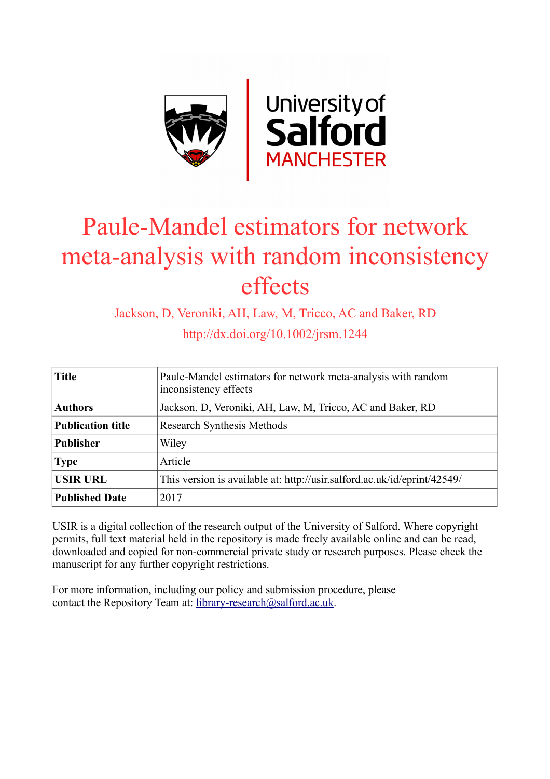

# Paule-Mandel estimators for network meta-analysis with random inconsistency effects

Jackson, D, Veroniki, AH, Law, M, Tricco, AC and Baker, RD

http://dx.doi.org/10.1002/jrsm.1244

| <b>Title</b>             | Paule-Mandel estimators for network meta-analysis with random<br>inconsistency effects |
|--------------------------|----------------------------------------------------------------------------------------|
| <b>Authors</b>           | Jackson, D. Veroniki, AH, Law, M. Tricco, AC and Baker, RD                             |
| <b>Publication title</b> | <b>Research Synthesis Methods</b>                                                      |
| <b>Publisher</b>         | Wiley                                                                                  |
| <b>Type</b>              | Article                                                                                |
| <b>USIR URL</b>          | This version is available at: http://usir.salford.ac.uk/id/eprint/42549/               |
| <b>Published Date</b>    | 2017                                                                                   |

USIR is a digital collection of the research output of the University of Salford. Where copyright permits, full text material held in the repository is made freely available online and can be read, downloaded and copied for non-commercial private study or research purposes. Please check the manuscript for any further copyright restrictions.

For more information, including our policy and submission procedure, please contact the Repository Team at: [library-research@salford.ac.uk.](mailto:library-research@salford.ac.uk)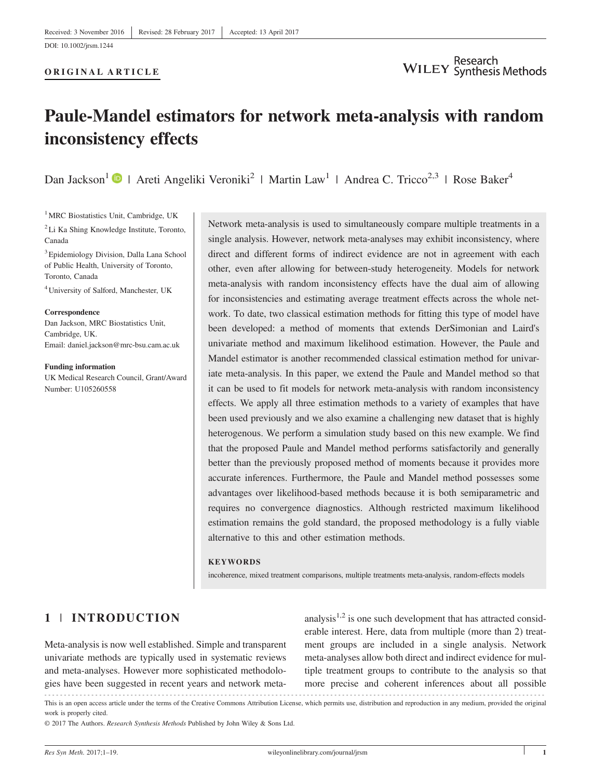# Paule‐Mandel estimators for network meta‐analysis with random inconsistency effects

Dan Jackson<sup>1</sup>  $\bullet$  | Areti Angeliki Veroniki<sup>2</sup> | Martin Law<sup>1</sup> | Andrea C. Tricco<sup>2,3</sup> | Rose Baker<sup>4</sup>

<sup>1</sup> MRC Biostatistics Unit, Cambridge, UK 2Li Ka Shing Knowledge Institute, Toronto, Canada

<sup>3</sup>Epidemiology Division, Dalla Lana School of Public Health, University of Toronto, Toronto, Canada

4University of Salford, Manchester, UK

Correspondence Dan Jackson, MRC Biostatistics Unit, Cambridge, UK. Email: [daniel.jackson@mrc](mailto:daniel.jackson@mrc-bsu.cam.ac.uk)‐bsu.cam.ac.uk

Funding information UK Medical Research Council, Grant/Award Number: U105260558

Network meta‐analysis is used to simultaneously compare multiple treatments in a single analysis. However, network meta-analyses may exhibit inconsistency, where direct and different forms of indirect evidence are not in agreement with each other, even after allowing for between‐study heterogeneity. Models for network meta‐analysis with random inconsistency effects have the dual aim of allowing for inconsistencies and estimating average treatment effects across the whole network. To date, two classical estimation methods for fitting this type of model have been developed: a method of moments that extends DerSimonian and Laird's univariate method and maximum likelihood estimation. However, the Paule and Mandel estimator is another recommended classical estimation method for univariate meta-analysis. In this paper, we extend the Paule and Mandel method so that it can be used to fit models for network meta‐analysis with random inconsistency effects. We apply all three estimation methods to a variety of examples that have been used previously and we also examine a challenging new dataset that is highly heterogenous. We perform a simulation study based on this new example. We find that the proposed Paule and Mandel method performs satisfactorily and generally better than the previously proposed method of moments because it provides more accurate inferences. Furthermore, the Paule and Mandel method possesses some advantages over likelihood‐based methods because it is both semiparametric and requires no convergence diagnostics. Although restricted maximum likelihood estimation remains the gold standard, the proposed methodology is a fully viable alternative to this and other estimation methods.

#### KEYWORDS

incoherence, mixed treatment comparisons, multiple treatments meta-analysis, random-effects models

# 1 | INTRODUCTION

Meta‐analysis is now well established. Simple and transparent univariate methods are typically used in systematic reviews and meta‐analyses. However more sophisticated methodologies have been suggested in recent years and network metaanalysis $1,2$  is one such development that has attracted considerable interest. Here, data from multiple (more than 2) treatment groups are included in a single analysis. Network meta‐analyses allow both direct and indirect evidence for multiple treatment groups to contribute to the analysis so that more precise and coherent inferences about all possible

------------------------------------------------------------------------------------------------------------------------------- -

This is an open access article under the terms of the [Creative Commons Attribution](http://creativecommons.org/licenses/by/4.0/) License, which permits use, distribution and reproduction in any medium, provided the original work is properly cited.

© 2017 The Authors. Research Synthesis Methods Published by John Wiley & Sons Ltd.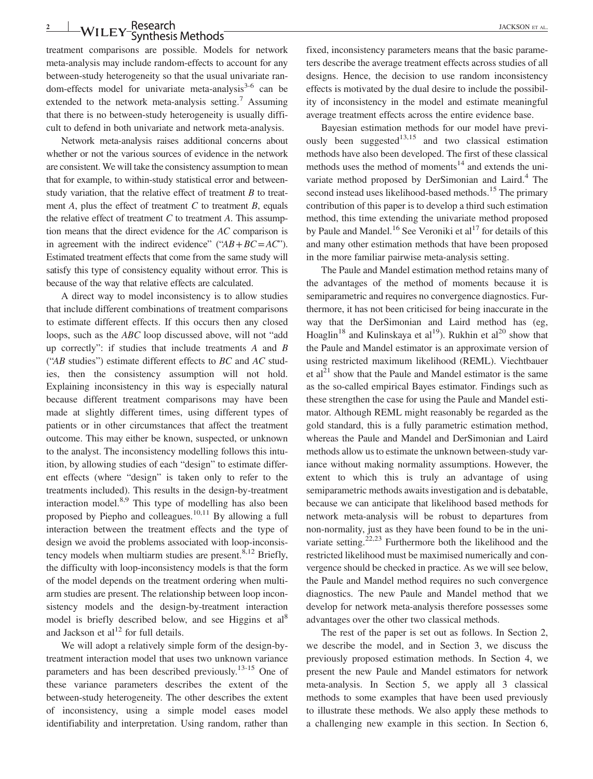# 2 | WILEY<sup>-Research</sup><br>WILEY<sup>-</sup>Synthesis Methods **| MacKSON ET AL.**

treatment comparisons are possible. Models for network meta‐analysis may include random‐effects to account for any between‐study heterogeneity so that the usual univariate random-effects model for univariate meta-analysis $3-6$  can be extended to the network meta-analysis setting.<sup>7</sup> Assuming that there is no between‐study heterogeneity is usually difficult to defend in both univariate and network meta‐analysis.

Network meta‐analysis raises additional concerns about whether or not the various sources of evidence in the network are consistent. We will take the consistency assumption to mean that for example, to within-study statistical error and betweenstudy variation, that the relative effect of treatment  $B$  to treatment  $A$ , plus the effect of treatment  $C$  to treatment  $B$ , equals the relative effect of treatment  $C$  to treatment  $A$ . This assumption means that the direct evidence for the AC comparison is in agreement with the indirect evidence" (" $AB + BC = AC$ "). Estimated treatment effects that come from the same study will satisfy this type of consistency equality without error. This is because of the way that relative effects are calculated.

A direct way to model inconsistency is to allow studies that include different combinations of treatment comparisons to estimate different effects. If this occurs then any closed loops, such as the ABC loop discussed above, will not "add up correctly": if studies that include treatments A and B ("AB studies") estimate different effects to  $BC$  and  $AC$  studies, then the consistency assumption will not hold. Explaining inconsistency in this way is especially natural because different treatment comparisons may have been made at slightly different times, using different types of patients or in other circumstances that affect the treatment outcome. This may either be known, suspected, or unknown to the analyst. The inconsistency modelling follows this intuition, by allowing studies of each "design" to estimate different effects (where "design" is taken only to refer to the treatments included). This results in the design‐by‐treatment interaction model. $8,9$  This type of modelling has also been proposed by Piepho and colleagues.<sup>10,11</sup> By allowing a full interaction between the treatment effects and the type of design we avoid the problems associated with loop-inconsistency models when multiarm studies are present. $8,12$  Briefly, the difficulty with loop‐inconsistency models is that the form of the model depends on the treatment ordering when multi‐ arm studies are present. The relationship between loop inconsistency models and the design-by-treatment interaction model is briefly described below, and see Higgins et al<sup>8</sup> and Jackson et  $al<sup>12</sup>$  for full details.

We will adopt a relatively simple form of the design-bytreatment interaction model that uses two unknown variance parameters and has been described previously.<sup>13-15</sup> One of these variance parameters describes the extent of the between‐study heterogeneity. The other describes the extent of inconsistency, using a simple model eases model identifiability and interpretation. Using random, rather than

fixed, inconsistency parameters means that the basic parameters describe the average treatment effects across studies of all designs. Hence, the decision to use random inconsistency effects is motivated by the dual desire to include the possibility of inconsistency in the model and estimate meaningful average treatment effects across the entire evidence base.

Bayesian estimation methods for our model have previously been suggested<sup>13,15</sup> and two classical estimation methods have also been developed. The first of these classical methods uses the method of moments<sup>14</sup> and extends the univariate method proposed by DerSimonian and Laird.<sup>4</sup> The second instead uses likelihood-based methods.<sup>15</sup> The primary contribution of this paper is to develop a third such estimation method, this time extending the univariate method proposed by Paule and Mandel.<sup>16</sup> See Veroniki et al<sup>17</sup> for details of this and many other estimation methods that have been proposed in the more familiar pairwise meta-analysis setting.

The Paule and Mandel estimation method retains many of the advantages of the method of moments because it is semiparametric and requires no convergence diagnostics. Furthermore, it has not been criticised for being inaccurate in the way that the DerSimonian and Laird method has (eg, Hoaglin<sup>18</sup> and Kulinskaya et al<sup>19</sup>). Rukhin et al<sup>20</sup> show that the Paule and Mandel estimator is an approximate version of using restricted maximum likelihood (REML). Viechtbauer et  $al<sup>21</sup>$  show that the Paule and Mandel estimator is the same as the so‐called empirical Bayes estimator. Findings such as these strengthen the case for using the Paule and Mandel estimator. Although REML might reasonably be regarded as the gold standard, this is a fully parametric estimation method, whereas the Paule and Mandel and DerSimonian and Laird methods allow us to estimate the unknown between‐study variance without making normality assumptions. However, the extent to which this is truly an advantage of using semiparametric methods awaits investigation and is debatable, because we can anticipate that likelihood based methods for network meta‐analysis will be robust to departures from non‐normality, just as they have been found to be in the univariate setting.<sup>22,23</sup> Furthermore both the likelihood and the restricted likelihood must be maximised numerically and convergence should be checked in practice. As we will see below, the Paule and Mandel method requires no such convergence diagnostics. The new Paule and Mandel method that we develop for network meta‐analysis therefore possesses some advantages over the other two classical methods.

The rest of the paper is set out as follows. In Section 2, we describe the model, and in Section 3, we discuss the previously proposed estimation methods. In Section 4, we present the new Paule and Mandel estimators for network meta-analysis. In Section 5, we apply all 3 classical methods to some examples that have been used previously to illustrate these methods. We also apply these methods to a challenging new example in this section. In Section 6,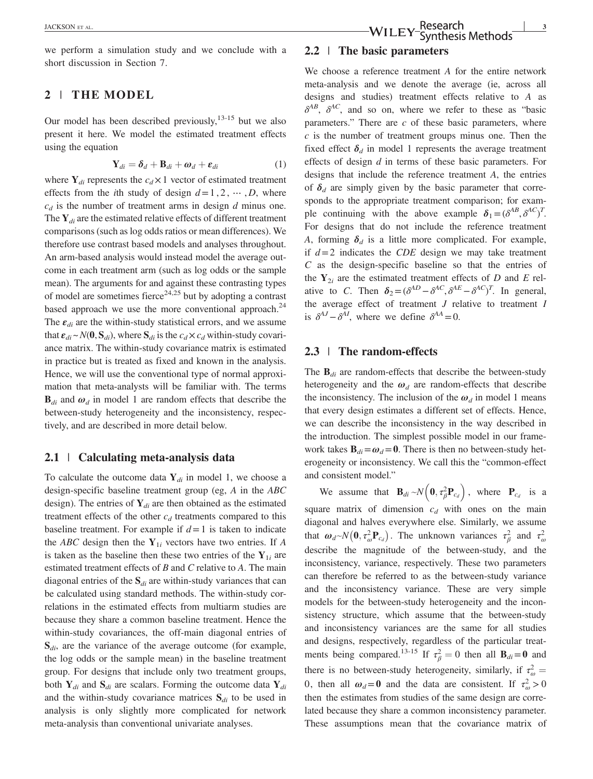we perform a simulation study and we conclude with a short discussion in Section 7.

### 2 | THE MODEL

Our model has been described previously,  $13-15$  but we also present it here. We model the estimated treatment effects using the equation

$$
\mathbf{Y}_{di} = \boldsymbol{\delta}_d + \mathbf{B}_{di} + \boldsymbol{\omega}_d + \boldsymbol{\varepsilon}_{di} \tag{1}
$$

where  $Y_{di}$  represents the  $c_d \times 1$  vector of estimated treatment effects from the *i*th study of design  $d=1,2, \cdots, D$ , where  $c_d$  is the number of treatment arms in design d minus one. The  $Y_{di}$  are the estimated relative effects of different treatment comparisons (such as log odds ratios or mean differences). We therefore use contrast based models and analyses throughout. An arm‐based analysis would instead model the average outcome in each treatment arm (such as log odds or the sample mean). The arguments for and against these contrasting types of model are sometimes fierce<sup>24,25</sup> but by adopting a contrast based approach we use the more conventional approach. $24$ The  $\varepsilon_{di}$  are the within-study statistical errors, and we assume that  $\epsilon_{di} \sim N(0, S_{di})$ , where  $S_{di}$  is the  $c_d \times c_d$  within-study covariance matrix. The within‐study covariance matrix is estimated in practice but is treated as fixed and known in the analysis. Hence, we will use the conventional type of normal approximation that meta‐analysts will be familiar with. The terms  **and**  $\omega_d$  **in model 1 are random effects that describe the** between‐study heterogeneity and the inconsistency, respectively, and are described in more detail below.

#### 2.1 | Calculating meta-analysis data

To calculate the outcome data  $Y_{di}$  in model 1, we choose a design-specific baseline treatment group (eg, A in the ABC design). The entries of  $Y_{di}$  are then obtained as the estimated treatment effects of the other  $c_d$  treatments compared to this baseline treatment. For example if  $d=1$  is taken to indicate the ABC design then the  $Y_{1i}$  vectors have two entries. If A is taken as the baseline then these two entries of the  $Y_{1i}$  are estimated treatment effects of  $B$  and  $C$  relative to  $A$ . The main diagonal entries of the  $S_{di}$  are within-study variances that can be calculated using standard methods. The within‐study correlations in the estimated effects from multiarm studies are because they share a common baseline treatment. Hence the within-study covariances, the off-main diagonal entries of  $S_{di}$ , are the variance of the average outcome (for example, the log odds or the sample mean) in the baseline treatment group. For designs that include only two treatment groups, both  $Y_{di}$  and  $S_{di}$  are scalars. Forming the outcome data  $Y_{di}$ and the within-study covariance matrices  $S_{di}$  to be used in analysis is only slightly more complicated for network meta‐analysis than conventional univariate analyses.

# 2.2 | The basic parameters

We choose a reference treatment A for the entire network meta‐analysis and we denote the average (ie, across all designs and studies) treatment effects relative to A as  $\delta^{AB}$ ,  $\delta^{AC}$ , and so on, where we refer to these as "basic parameters." There are  $c$  of these basic parameters, where  $c$  is the number of treatment groups minus one. Then the fixed effect  $\delta_d$  in model 1 represents the average treatment effects of design d in terms of these basic parameters. For designs that include the reference treatment A, the entries of  $\delta_d$  are simply given by the basic parameter that corresponds to the appropriate treatment comparison; for example continuing with the above example  $\delta_1 = (\delta^{AB}, \delta^{AC})^T$ . For designs that do not include the reference treatment A, forming  $\delta_d$  is a little more complicated. For example, if  $d=2$  indicates the CDE design we may take treatment  $C$  as the design-specific baseline so that the entries of the  $Y_{2i}$  are the estimated treatment effects of D and E relative to C. Then  $\delta_2 = (\delta^{AD} - \delta^{AC}, \delta^{AE} - \delta^{AC})^T$ . In general, the average effect of treatment J relative to treatment I is  $\delta^{AJ} - \delta^{AI}$ , where we define  $\delta^{AA} = 0$ .

#### 2.3 | The random-effects

The  **are random-effects that describe the between-study** heterogeneity and the  $\omega_d$  are random-effects that describe the inconsistency. The inclusion of the  $\omega_d$  in model 1 means that every design estimates a different set of effects. Hence, we can describe the inconsistency in the way described in the introduction. The simplest possible model in our framework takes  $B_{di} = \omega_d = 0$ . There is then no between-study heterogeneity or inconsistency. We call this the "common‐effect and consistent model."

We assume that  $\mathbf{B}_{di} \sim N\left(\mathbf{0}, \tau_{\beta}^2 \mathbf{P}_{c_d}\right)$ , where  $\mathbf{P}_{c_d}$  is a square matrix of dimension  $c_d$  with ones on the main diagonal and halves everywhere else. Similarly, we assume that  $\omega_d \sim N(\mathbf{0}, \tau_{\omega}^2 \mathbf{P}_{c_d})$ . The unknown variances  $\tau_{\beta}^2$  and  $\tau_{\omega}^2$ <br>describe the magnitude of the between study and the describe the magnitude of the between‐study, and the inconsistency, variance, respectively. These two parameters can therefore be referred to as the between‐study variance and the inconsistency variance. These are very simple models for the between‐study heterogeneity and the inconsistency structure, which assume that the between-study and inconsistency variances are the same for all studies and designs, respectively, regardless of the particular treatments being compared.<sup>13-15</sup> If  $\tau_{\beta}^2 = 0$  then all  $\mathbf{B}_{di} = \mathbf{0}$  and there is no between-study heterogeneity, similarly, if  $\tau_{\omega}^2 =$ 0, then all  $\omega_d = 0$  and the data are consistent. If  $\tau_{\omega}^2 > 0$ then the estimates from studies of the same design are correlated because they share a common inconsistency parameter. These assumptions mean that the covariance matrix of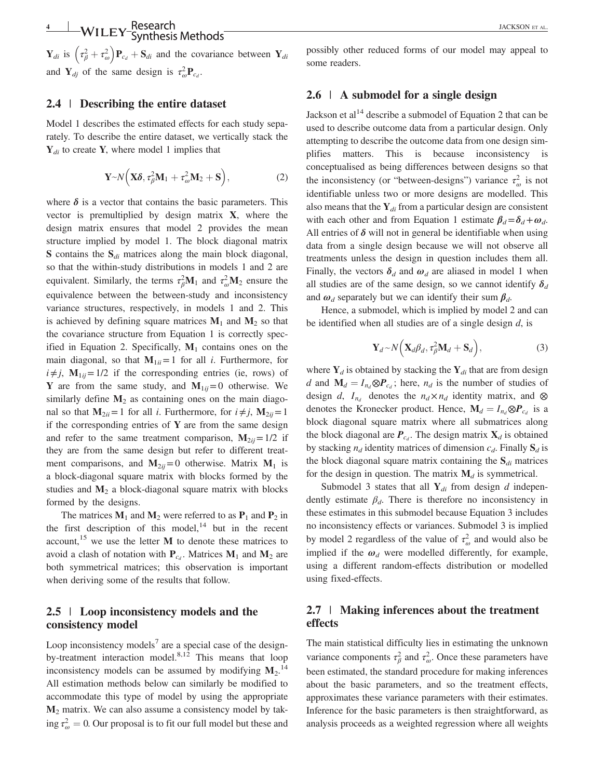$\mathbf{Y}_{di}$  is  $\left(\tau_{\beta}^2 + \tau_{\omega}^2\right) \mathbf{P}_{c_d} + \mathbf{S}_{di}$  and the covariance between  $\mathbf{Y}_{di}$ and  $Y_{dj}$  of the same design is  $\tau_{\omega}^2 \mathbf{P}_{c_d}$ .

#### 2.4 | Describing the entire dataset

Model 1 describes the estimated effects for each study separately. To describe the entire dataset, we vertically stack the  $Y_{di}$  to create Y, where model 1 implies that

$$
\mathbf{Y} \sim N\Big(\mathbf{X}\boldsymbol{\delta}, \tau_{\beta}^2\mathbf{M}_1 + \tau_{\omega}^2\mathbf{M}_2 + \mathbf{S}\Big), \tag{2}
$$

where  $\delta$  is a vector that contains the basic parameters. This vector is premultiplied by design matrix X, where the design matrix ensures that model 2 provides the mean structure implied by model 1. The block diagonal matrix S contains the  $S_{di}$  matrices along the main block diagonal, so that the within-study distributions in models 1 and 2 are equivalent. Similarly, the terms  $\tau_\beta^2 M_1$  and  $\tau_\omega^2 M_2$  ensure the equivalence between the between‐study and inconsistency variance structures, respectively, in models 1 and 2. This is achieved by defining square matrices  $M_1$  and  $M_2$  so that the covariance structure from Equation 1 is correctly specified in Equation 2. Specifically,  $M_1$  contains ones on the main diagonal, so that  $M_{1ii}=1$  for all *i*. Furthermore, for  $i \neq j$ ,  $M_{1ij} = 1/2$  if the corresponding entries (ie, rows) of Y are from the same study, and  $M_{1ii}=0$  otherwise. We similarly define  $M_2$  as containing ones on the main diagonal so that  $M_{2ii}=1$  for all *i*. Furthermore, for  $i \neq j$ ,  $M_{2ii}=1$ if the corresponding entries of  $Y$  are from the same design and refer to the same treatment comparison,  $M_{2ii} = 1/2$  if they are from the same design but refer to different treatment comparisons, and  $M_{2ij}=0$  otherwise. Matrix  $M_1$  is a block‐diagonal square matrix with blocks formed by the studies and  $M_2$  a block-diagonal square matrix with blocks formed by the designs.

The matrices  $M_1$  and  $M_2$  were referred to as  $P_1$  and  $P_2$  in the first description of this model, $14$  but in the recent account,  $15$  we use the letter M to denote these matrices to avoid a clash of notation with  $P_{c,d}$ . Matrices  $M_1$  and  $M_2$  are both symmetrical matrices; this observation is important when deriving some of the results that follow.

## 2.5 | Loop inconsistency models and the consistency model

Loop inconsistency models<sup>7</sup> are a special case of the designby-treatment interaction model.<sup>8,12</sup> This means that loop inconsistency models can be assumed by modifying  $M_2$ .<sup>14</sup> All estimation methods below can similarly be modified to accommodate this type of model by using the appropriate  $M<sub>2</sub>$  matrix. We can also assume a consistency model by taking  $\tau_{\omega}^2 = 0$ . Our proposal is to fit our full model but these and

possibly other reduced forms of our model may appeal to some readers.

#### 2.6 | A submodel for a single design

Jackson et  $al<sup>14</sup>$  describe a submodel of Equation 2 that can be used to describe outcome data from a particular design. Only attempting to describe the outcome data from one design simplifies matters. This is because inconsistency is conceptualised as being differences between designs so that the inconsistency (or "between-designs") variance  $\tau_{\omega}^2$  is not identifiable unless two or more designs are modelled. This also means that the  $Y_{di}$  from a particular design are consistent with each other and from Equation 1 estimate  $\beta_d = \delta_d + \omega_d$ . All entries of  $\delta$  will not in general be identifiable when using data from a single design because we will not observe all treatments unless the design in question includes them all. Finally, the vectors  $\delta_d$  and  $\omega_d$  are aliased in model 1 when all studies are of the same design, so we cannot identify  $\delta_d$ and  $\omega_d$  separately but we can identify their sum  $\beta_d$ .

Hence, a submodel, which is implied by model 2 and can be identified when all studies are of a single design  $d$ , is

$$
\mathbf{Y}_d \sim N\Big(\mathbf{X}_d\boldsymbol{\beta}_d, \tau_\beta^2 \mathbf{M}_d + \mathbf{S}_d\Big),\tag{3}
$$

where  $Y_d$  is obtained by stacking the  $Y_d$  that are from design d and  $\mathbf{M}_d = I_{n_d} \otimes \mathbf{P}_{c_d}$ ; here,  $n_d$  is the number of studies of design d,  $I_{n_d}$  denotes the  $n_d \times n_d$  identity matrix, and ⊗ denotes the Kronecker product. Hence,  $\mathbf{M}_d = I_{n_d} \otimes \mathbf{P}_{c_d}$  is a block diagonal square matrix where all submatrices along the block diagonal are  $P_{c_d}$ . The design matrix  $X_d$  is obtained by stacking  $n_d$  identity matrices of dimension  $c_d$ . Finally  $S_d$  is the block diagonal square matrix containing the  $S_{di}$  matrices for the design in question. The matrix  $M_d$  is symmetrical.

Submodel 3 states that all  $Y_{di}$  from design d independently estimate  $\beta_d$ . There is therefore no inconsistency in these estimates in this submodel because Equation 3 includes no inconsistency effects or variances. Submodel 3 is implied by model 2 regardless of the value of  $\tau_{\omega}^2$  and would also be implied if the  $\omega_d$  were modelled differently, for example, using a different random‐effects distribution or modelled using fixed‐effects.

## 2.7 | Making inferences about the treatment effects

The main statistical difficulty lies in estimating the unknown variance components  $\tau_{\beta}^2$  and  $\tau_{\omega}^2$ . Once these parameters have been estimated, the standard procedure for making inferences about the basic parameters, and so the treatment effects, approximates these variance parameters with their estimates. Inference for the basic parameters is then straightforward, as analysis proceeds as a weighted regression where all weights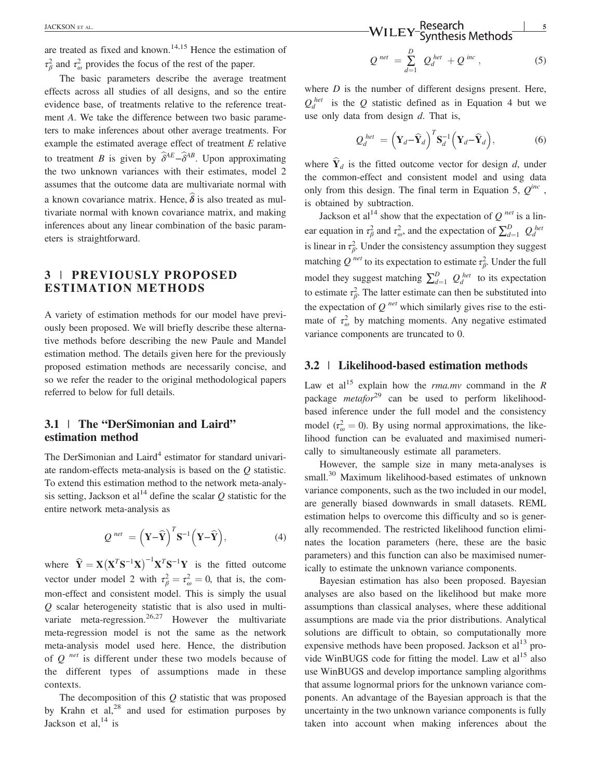are treated as fixed and known.<sup>14,15</sup> Hence the estimation of  $\tau_{\beta}^2$  and  $\tau_{\omega}^2$  provides the focus of the rest of the paper.

The basic parameters describe the average treatment effects across all studies of all designs, and so the entire evidence base, of treatments relative to the reference treatment A. We take the difference between two basic parameters to make inferences about other average treatments. For example the estimated average effect of treatment E relative to treatment B is given by  $\hat{\delta}^{AE}-\hat{\delta}^{AB}$ . Upon approximating the two unknown variances with their estimates, model 2 assumes that the outcome data are multivariate normal with a known covariance matrix. Hence,  $\hat{\delta}$  is also treated as multivariate normal with known covariance matrix, and making inferences about any linear combination of the basic parameters is straightforward.

# 3 | PREVIOUSLY PROPOSED ESTIMATION METHODS

A variety of estimation methods for our model have previously been proposed. We will briefly describe these alternative methods before describing the new Paule and Mandel estimation method. The details given here for the previously proposed estimation methods are necessarily concise, and so we refer the reader to the original methodological papers referred to below for full details.

# 3.1 | The "DerSimonian and Laird" estimation method

The DerSimonian and Laird<sup>4</sup> estimator for standard univariate random-effects meta-analysis is based on the  $O$  statistic. To extend this estimation method to the network meta‐analysis setting, Jackson et al<sup>14</sup> define the scalar O statistic for the entire network meta‐analysis as

$$
Q^{net} = (\mathbf{Y} - \widehat{\mathbf{Y}})^T \mathbf{S}^{-1} (\mathbf{Y} - \widehat{\mathbf{Y}}), \tag{4}
$$

where  $\hat{Y} = X(X^T S^{-1} X)^{-1} X^T S^{-1} Y$  is the fitted outcome vector under model 2 with  $\tau_{\beta}^2 = \tau_{\omega}^2 = 0$ , that is, the common‐effect and consistent model. This is simply the usual Q scalar heterogeneity statistic that is also used in multivariate meta-regression.<sup>26,27</sup> However the multivariate meta‐regression model is not the same as the network meta‐analysis model used here. Hence, the distribution of  $Q^{net}$  is different under these two models because of the different types of assumptions made in these contexts.

The decomposition of this  $Q$  statistic that was proposed by Krahn et al, $^{28}$  and used for estimation purposes by Jackson et al, $^{14}$  is

$$
Q^{net} = \sum_{d=1}^{D} Q_{d}^{het} + Q^{inc}, \qquad (5)
$$

where  $D$  is the number of different designs present. Here,  $Q_d^{het}$  is the Q statistic defined as in Equation 4 but we use only data from design  $d$ . That is,

$$
Q_d^{het} = (\mathbf{Y}_d - \widehat{\mathbf{Y}}_d)^T \mathbf{S}_d^{-1} (\mathbf{Y}_d - \widehat{\mathbf{Y}}_d), \tag{6}
$$

where  $\widehat{\mathbf{Y}}_d$  is the fitted outcome vector for design d, under the common‐effect and consistent model and using data only from this design. The final term in Equation 5,  $Q^{inc}$ , is obtained by subtraction.

Jackson et al<sup>14</sup> show that the expectation of  $Q^{net}$  is a linear equation in  $\tau_{\beta}^2$  and  $\tau_{\omega}^2$ , and the expectation of  $\sum_{d=1}^{D} Q_d^{he}$ is linear in  $\tau_{\beta}^2$ . Under the consistency assumption they suggest matching Q <sup>net</sup> to its expectation to estimate  $\tau_{\beta}^2$ . Under the full model they suggest matching  $\sum_{d=1}^{D} Q_d^{het}$  to its expectation to estimate  $\tau_{\beta}^2$ . The latter estimate can then be substituted into the expectation of  $Q^{net}$  which similarly gives rise to the estimate of  $\tau_{\omega}^2$  by matching moments. Any negative estimated variance components are truncated to 0.

#### 3.2 | Likelihood‐based estimation methods

Law et al<sup>15</sup> explain how the *rma.mv* command in the R package *metafor*<sup>29</sup> can be used to perform likelihoodbased inference under the full model and the consistency model ( $\tau_{\omega}^2 = 0$ ). By using normal approximations, the likelihood function can be evaluated and maximised numerically to simultaneously estimate all parameters.

However, the sample size in many meta-analyses is small.<sup>30</sup> Maximum likelihood-based estimates of unknown variance components, such as the two included in our model, are generally biased downwards in small datasets. REML estimation helps to overcome this difficulty and so is generally recommended. The restricted likelihood function eliminates the location parameters (here, these are the basic parameters) and this function can also be maximised numerically to estimate the unknown variance components.

Bayesian estimation has also been proposed. Bayesian analyses are also based on the likelihood but make more assumptions than classical analyses, where these additional assumptions are made via the prior distributions. Analytical solutions are difficult to obtain, so computationally more expensive methods have been proposed. Jackson et  $al<sup>13</sup>$  provide WinBUGS code for fitting the model. Law et  $al<sup>15</sup>$  also use WinBUGS and develop importance sampling algorithms that assume lognormal priors for the unknown variance components. An advantage of the Bayesian approach is that the uncertainty in the two unknown variance components is fully taken into account when making inferences about the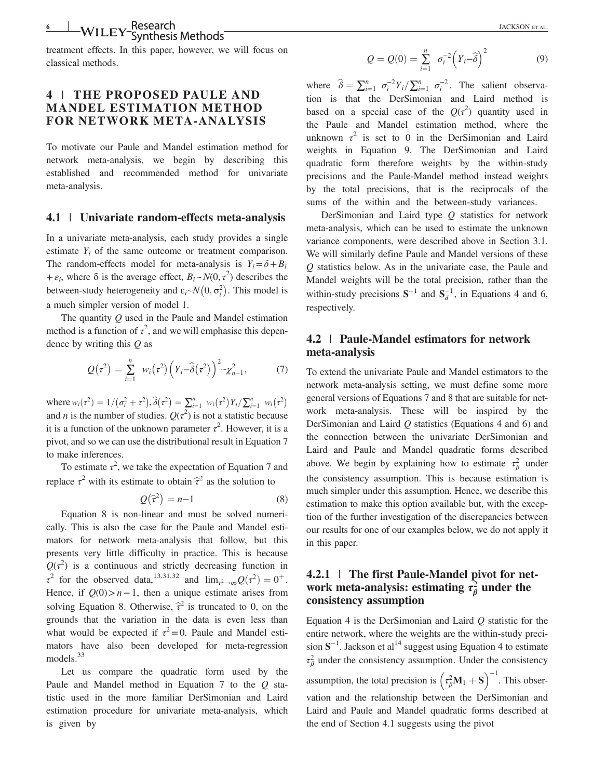# 6 JACKSON ET AL.

treatment effects. In this paper, however, we will focus on classical methods.

# 4 | THE PROPOSED PAULE AND MANDEL ESTIMATION METHOD FOR NETWORK META‐ANALYSIS

To motivate our Paule and Mandel estimation method for network meta‐analysis, we begin by describing this established and recommended method for univariate meta‐analysis.

### 4.1 | Univariate random‐effects meta‐analysis

In a univariate meta‐analysis, each study provides a single estimate  $Y_i$  of the same outcome or treatment comparison. The random-effects model for meta-analysis is  $Y_i = \delta + B_i$ +  $\varepsilon_i$ , where  $\delta$  is the average effect,  $B_i \sim N(0, \tau^2)$  describes the between-study heterogeneity and  $\varepsilon_i \sim N(0, \sigma_i^2)$ . This model is<br>a much simpler version of model 1 a much simpler version of model 1.

The quantity  $Q$  used in the Paule and Mandel estimation method is a function of  $\tau^2$ , and we will emphasise this dependence by writing this  $Q$  as

$$
Q(\tau^2) = \sum_{i=1}^n w_i(\tau^2) (Y_i - \widehat{\delta}(\tau^2))^2 \gamma_{n-1}^2, \qquad (7)
$$

where  $w_i(\tau^2) = 1/(\sigma_i^2 + \tau^2), \hat{\delta}(\tau^2) = \sum_{i=1}^n w_i(\tau^2) Y_i / \sum_{i=1}^n w_i(\tau^2)$ and *n* is the number of studies.  $Q(\tau^2)$  is not a statistic because it is a function of the unknown parameter  $\tau^2$ . However, it is a pivot, and so we can use the distributional result in Equation 7 to make inferences.

To estimate  $\tau^2$ , we take the expectation of Equation 7 and replace  $\tau^2$  with its estimate to obtain  $\hat{\tau}^2$  as the solution to

$$
Q(\hat{\tau}^2) = n - 1 \tag{8}
$$

Equation 8 is non‐linear and must be solved numerically. This is also the case for the Paule and Mandel estimators for network meta‐analysis that follow, but this presents very little difficulty in practice. This is because  $Q(\tau^2)$  is a continuous and strictly decreasing function in  $\tau^2$  for the observed data,<sup>13,31,32</sup> and  $\lim_{\tau^2 \to \infty} Q(\tau^2) = 0^+$ . Hence, if  $Q(0) > n-1$ , then a unique estimate arises from solving Equation 8. Otherwise,  $\hat{\tau}^2$  is truncated to 0, on the grounds that the variation in the data is even less than what would be expected if  $\tau^2 = 0$ . Paule and Mandel estimators have also been developed for meta‐regression models.<sup>33</sup>

Let us compare the quadratic form used by the Paule and Mandel method in Equation 7 to the Q statistic used in the more familiar DerSimonian and Laird estimation procedure for univariate meta‐analysis, which is given by

$$
Q = Q(0) = \sum_{i=1}^{n} \sigma_i^{-2} \left( Y_i - \hat{\delta} \right)^2 \tag{9}
$$

where  $\hat{\delta} = \sum_{i=1}^{n} \sigma_i^{-2} Y_i / \sum_{i=1}^{n} \sigma_i^{-2}$ . The salient observation is that the DerSimonian and Laird method is based on a special case of the  $Q(\tau^2)$  quantity used in the Paule and Mandel estimation method, where the unknown  $\tau^2$  is set to 0 in the DerSimonian and Laird weights in Equation 9. The DerSimonian and Laird quadratic form therefore weights by the within‐study precisions and the Paule‐Mandel method instead weights by the total precisions, that is the reciprocals of the sums of the within and the between-study variances.

DerSimonian and Laird type Q statistics for network meta‐analysis, which can be used to estimate the unknown variance components, were described above in Section 3.1. We will similarly define Paule and Mandel versions of these Q statistics below. As in the univariate case, the Paule and Mandel weights will be the total precision, rather than the within-study precisions  $S^{-1}$  and  $S_d^{-1}$ , in Equations 4 and 6, respectively.

# 4.2 | Paule‐Mandel estimators for network meta‐analysis

To extend the univariate Paule and Mandel estimators to the network meta‐analysis setting, we must define some more general versions of Equations 7 and 8 that are suitable for network meta‐analysis. These will be inspired by the DerSimonian and Laird  $Q$  statistics (Equations 4 and 6) and the connection between the univariate DerSimonian and Laird and Paule and Mandel quadratic forms described above. We begin by explaining how to estimate  $\tau_{\beta}^2$  under the consistency assumption. This is because estimation is much simpler under this assumption. Hence, we describe this estimation to make this option available but, with the exception of the further investigation of the discrepancies between our results for one of our examples below, we do not apply it in this paper.

# 4.2.1 | The first Paule‐Mandel pivot for network meta-analysis: estimating  $\tau_{\beta}^2$  under the consistency assumption

Equation 4 is the DerSimonian and Laird  $Q$  statistic for the entire network, where the weights are the within‐study precision  $S^{-1}$ . Jackson et al<sup>14</sup> suggest using Equation 4 to estimate  $\tau_{\beta}^2$  under the consistency assumption. Under the consistency assumption, the total precision is  $(\tau_\beta^2 M_1 + S)^{-1}$ . This observation and the relationship between the DerSimonian and Laird and Paule and Mandel quadratic forms described at the end of Section 4.1 suggests using the pivot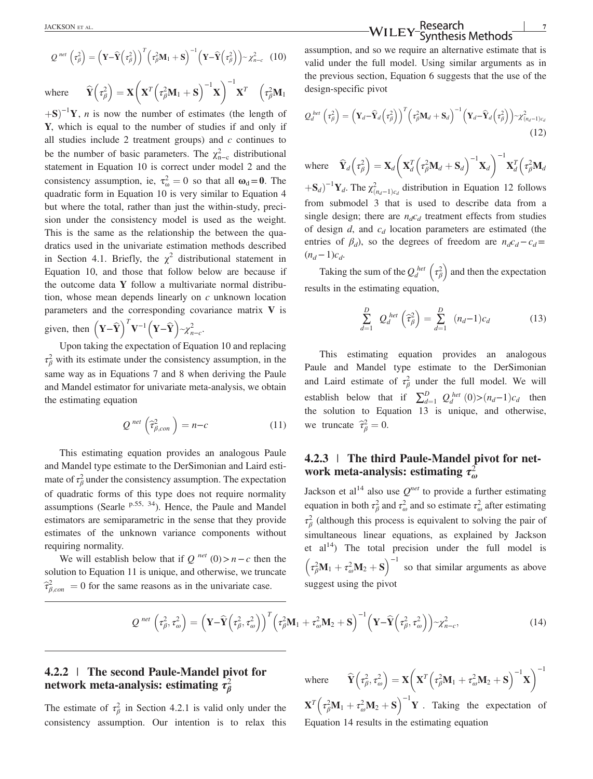$$
Q^{net}\left(\tau_{\beta}^{2}\right) = \left(\mathbf{Y}-\widehat{\mathbf{Y}}\left(\tau_{\beta}^{2}\right)\right)^{T}\left(\tau_{\beta}^{2}\mathbf{M}_{1}+\mathbf{S}\right)^{-1}\left(\mathbf{Y}-\widehat{\mathbf{Y}}\left(\tau_{\beta}^{2}\right)\right) \sim \chi_{n-c}^{2} \quad (10)
$$

$$
\text{where }\quad \widehat{\textbf{Y}}\Big(\tau_\beta^2\Big)=\textbf{X}\bigg(\textbf{X}^T\Big(\tau_\beta^2\textbf{M}_1+\textbf{S}\Big)^{-1}\textbf{X}\bigg)^{-1}\textbf{X}^T\quad \Big(\tau_\beta^2\textbf{M}_1
$$

 $+S$ <sup>-1</sup>Y, *n* is now the number of estimates (the length of Y, which is equal to the number of studies if and only if all studies include 2 treatment groups) and  $c$  continues to be the number of basic parameters. The  $\chi^2_{n-c}$  distributional statement in Equation 10 is correct under model 2 and the consistency assumption, ie,  $\tau_{\omega}^2 = 0$  so that all  $\omega_d = 0$ . The quadratic form in Equation 10 is very similar to Equation 4 but where the total, rather than just the within‐study, precision under the consistency model is used as the weight. This is the same as the relationship the between the quadratics used in the univariate estimation methods described in Section 4.1. Briefly, the  $\chi^2$  distributional statement in Equation 10, and those that follow below are because if the outcome data Y follow a multivariate normal distribution, whose mean depends linearly on  $c$  unknown location parameters and the corresponding covariance matrix  $V$  is given, then  $(\mathbf{Y}-\widehat{\mathbf{Y}})^T \mathbf{V}^{-1} (\mathbf{Y}-\widehat{\mathbf{Y}}) \sim \chi^2_{n-c}$ .

Upon taking the expectation of Equation 10 and replacing  $\tau_{\beta}^2$  with its estimate under the consistency assumption, in the same way as in Equations 7 and 8 when deriving the Paule and Mandel estimator for univariate meta‐analysis, we obtain the estimating equation

$$
Q^{net}\left(\widehat{\tau}_{\beta,con}^2\right) = n - c \tag{11}
$$

This estimating equation provides an analogous Paule and Mandel type estimate to the DerSimonian and Laird estimate of  $\tau_{\beta}^2$  under the consistency assumption. The expectation of quadratic forms of this type does not require normality assumptions (Searle  $p.55, 34$ ). Hence, the Paule and Mandel estimators are semiparametric in the sense that they provide estimates of the unknown variance components without requiring normality.

We will establish below that if  $Q^{net}(0) > n - c$  then the solution to Equation 11 is unique, and otherwise, we truncate  $\hat{\tau}_{\beta,con}^2 = 0$  for the same reasons as in the univariate case.

assumption, and so we require an alternative estimate that is valid under the full model. Using similar arguments as in the previous section, Equation 6 suggests that the use of the design‐specific pivot

$$
Q_d^{het}\left(\tau_{\beta}^2\right) = \left(\mathbf{Y}_d - \widehat{\mathbf{Y}}_d\left(\tau_{\beta}^2\right)\right)^T \left(\tau_{\beta}^2 \mathbf{M}_d + \mathbf{S}_d\right)^{-1} \left(\mathbf{Y}_d - \widehat{\mathbf{Y}}_d\left(\tau_{\beta}^2\right)\right) \sim \chi_{(n_d-1)c_d}^2
$$
\n(12)

where  $\widehat{\mathbf{Y}}_d \left( \tau_{\beta}^2 \right) = \mathbf{X}_d \left( \mathbf{X}_d^T \left( \tau_{\beta}^2 \mathbf{M}_d + \mathbf{S}_d \right)^{-1} \mathbf{X}_d \right)$  $\left(\textbf{X}_{d}^{T}\Big(\tau_{\beta}^{2}\textbf{M}_{d}+\textbf{S}_{d}\Big)^{-1}\textbf{X}_{d}\right)^{-1}\textbf{X}_{d}^{T}\Big(\tau_{\beta}^{2}\textbf{M}_{d}$  $+S_d)^{-1}Y_d$ . The  $\chi^2_{(n_d-1)c_d}$  distribution in Equation 12 follows from submodel 3 that is used to describe data from a single design; there are  $n_d c_d$  treatment effects from studies of design  $d$ , and  $c_d$  location parameters are estimated (the entries of  $\beta_d$ ), so the degrees of freedom are  $n_d c_d - c_d =$  $(n_d-1)c_d$ .

Taking the sum of the  $Q_d^{het} \left( \tau_\beta^2 \right)$  and then the expectation results in the estimating equation,

$$
\sum_{d=1}^{D} Q_d^{het} \left(\widehat{\tau}_{\beta}^2\right) = \sum_{d=1}^{D} (n_d - 1)c_d \tag{13}
$$

This estimating equation provides an analogous Paule and Mandel type estimate to the DerSimonian and Laird estimate of  $\tau_\beta^2$  under the full model. We will establish below that if  $\sum_{d=1}^{D} Q_d^{het}(0) > (n_d-1)c_d$  then the solution to Equation 13 is unique, and otherwise, we truncate  $\hat{\tau}_{\beta}^2 = 0$ .

# 4.2.3 | The third Paule‐Mandel pivot for network meta-analysis: estimating  $\tau_{\omega}^2$

Jackson et al<sup>14</sup> also use  $Q^{net}$  to provide a further estimating equation in both  $\tau_{\beta}^2$  and  $\tau_{\omega}^2$  and so estimate  $\tau_{\omega}^2$  after estimating  $\tau_{\beta}^2$  (although this process is equivalent to solving the pair of simultaneous linear equations, as explained by Jackson et  $al^{14}$ ) The total precision under the full model is  $\left(\tau_\beta^2 \mathbf{M}_1 + \tau_\omega^2 \mathbf{M}_2 + \mathbf{S}\right)^{-1}$  so that similar arguments as above suggest using the pivot

$$
Q^{net}\left(\tau_{\beta}^{2},\tau_{\omega}^{2}\right) = \left(\mathbf{Y}-\widehat{\mathbf{Y}}\left(\tau_{\beta}^{2},\tau_{\omega}^{2}\right)\right)^{T}\left(\tau_{\beta}^{2}\mathbf{M}_{1}+\tau_{\omega}^{2}\mathbf{M}_{2}+\mathbf{S}\right)^{-1}\left(\mathbf{Y}-\widehat{\mathbf{Y}}\left(\tau_{\beta}^{2},\tau_{\omega}^{2}\right)\right) \sim \chi_{n-c}^{2},\tag{14}
$$

# 4.2.2 | The second Paule‐Mandel pivot for network meta-analysis: estimating  $\bar{\tau}^2_{\beta}$

The estimate of  $\tau_{\beta}^2$  in Section 4.2.1 is valid only under the consistency assumption. Our intention is to relax this where  $\widehat{\mathbf{Y}}\left(\tau_{\beta}^{2},\tau_{\omega}^{2}\right)=\mathbf{X}\left(\mathbf{X}^{T}\left(\tau_{\beta}^{2}\mathbf{M}_{1}+\tau_{\omega}^{2}\mathbf{M}_{2}+\mathbf{S}\right)^{-1}\mathbf{X}\right)$  $\int \frac{1}{2\pi} \left(2\pi r \cos(2\pi r) -2\pi r\right)^{-1}$  $\mathbf{X}^T \left( \tau_\beta^2 \mathbf{M}_1 + \tau_\omega^2 \mathbf{M}_2 + \mathbf{S} \right)^{-1} \mathbf{Y}$  . Taking the expectation of

Equation 14 results in the estimating equation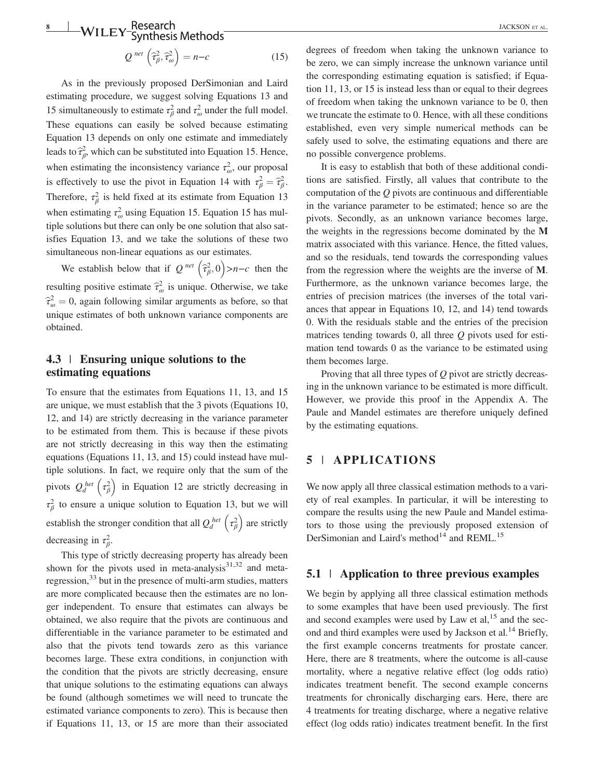# $Q^{net}(\widehat{\tau}_{\beta}^{2},\widehat{\tau}_{\omega}^{2})=n-c$  (15) 8 | WILEY<sup>-Research</sup><br>WILEY<sup>-S</sup>vnthesis Methods | MacKSON ET AL.

As in the previously proposed DerSimonian and Laird estimating procedure, we suggest solving Equations 13 and 15 simultaneously to estimate  $\tau_{\beta}^2$  and  $\tau_{\omega}^2$  under the full model. These equations can easily be solved because estimating Equation 13 depends on only one estimate and immediately leads to  $\hat{\tau}_{\beta}^2$ , which can be substituted into Equation 15. Hence, when estimating the inconsistency variance  $\tau_{\omega}^2$ , our proposal is effectively to use the pivot in Equation 14 with  $\tau_{\beta}^2 = \hat{\tau}_{\beta}^2$ . Therefore,  $\tau_{\beta}^2$  is held fixed at its estimate from Equation 13 when estimating  $\tau_{\omega}^2$  using Equation 15. Equation 15 has multiple solutions but there can only be one solution that also satisfies Equation 13, and we take the solutions of these two simultaneous non-linear equations as our estimates.

We establish below that if  $Q^{net}(\hat{\tau}_{\beta}^2,0) > n-c$  then the resulting positive estimate  $\hat{\tau}^2_{\omega}$  is unique. Otherwise, we take  $\hat{\tau}_{\omega}^2 = 0$ , again following similar arguments as before, so that unique estimates of both unknown variance components are obtained.

## 4.3 | Ensuring unique solutions to the estimating equations

To ensure that the estimates from Equations 11, 13, and 15 are unique, we must establish that the 3 pivots (Equations 10, 12, and 14) are strictly decreasing in the variance parameter to be estimated from them. This is because if these pivots are not strictly decreasing in this way then the estimating equations (Equations 11, 13, and 15) could instead have multiple solutions. In fact, we require only that the sum of the pivots  $Q_d^{het}(\tau_\beta^2)$  in Equation 12 are strictly decreasing in  $\tau_{\beta}^2$  to ensure a unique solution to Equation 13, but we will establish the stronger condition that all  $Q_d^{het}(\tau_\beta^2)$  are strictly decreasing in  $\tau_{\beta}^2$ .

This type of strictly decreasing property has already been shown for the pivots used in meta-analysis $31,32$  and metaregression,<sup>33</sup> but in the presence of multi-arm studies, matters are more complicated because then the estimates are no longer independent. To ensure that estimates can always be obtained, we also require that the pivots are continuous and differentiable in the variance parameter to be estimated and also that the pivots tend towards zero as this variance becomes large. These extra conditions, in conjunction with the condition that the pivots are strictly decreasing, ensure that unique solutions to the estimating equations can always be found (although sometimes we will need to truncate the estimated variance components to zero). This is because then if Equations 11, 13, or 15 are more than their associated degrees of freedom when taking the unknown variance to be zero, we can simply increase the unknown variance until the corresponding estimating equation is satisfied; if Equation 11, 13, or 15 is instead less than or equal to their degrees of freedom when taking the unknown variance to be 0, then we truncate the estimate to 0. Hence, with all these conditions established, even very simple numerical methods can be safely used to solve, the estimating equations and there are no possible convergence problems.

It is easy to establish that both of these additional conditions are satisfied. Firstly, all values that contribute to the computation of the  $Q$  pivots are continuous and differentiable in the variance parameter to be estimated; hence so are the pivots. Secondly, as an unknown variance becomes large, the weights in the regressions become dominated by the M matrix associated with this variance. Hence, the fitted values, and so the residuals, tend towards the corresponding values from the regression where the weights are the inverse of M. Furthermore, as the unknown variance becomes large, the entries of precision matrices (the inverses of the total variances that appear in Equations 10, 12, and 14) tend towards 0. With the residuals stable and the entries of the precision matrices tending towards  $0$ , all three  $Q$  pivots used for estimation tend towards 0 as the variance to be estimated using them becomes large.

Proving that all three types of Q pivot are strictly decreasing in the unknown variance to be estimated is more difficult. However, we provide this proof in the Appendix A. The Paule and Mandel estimates are therefore uniquely defined by the estimating equations.

## 5 | APPLICATIONS

We now apply all three classical estimation methods to a variety of real examples. In particular, it will be interesting to compare the results using the new Paule and Mandel estimators to those using the previously proposed extension of DerSimonian and Laird's method $^{14}$  and REML.<sup>15</sup>

### 5.1 | Application to three previous examples

We begin by applying all three classical estimation methods to some examples that have been used previously. The first and second examples were used by Law et al,<sup>15</sup> and the second and third examples were used by Jackson et al.<sup>14</sup> Briefly, the first example concerns treatments for prostate cancer. Here, there are 8 treatments, where the outcome is all-cause mortality, where a negative relative effect (log odds ratio) indicates treatment benefit. The second example concerns treatments for chronically discharging ears. Here, there are 4 treatments for treating discharge, where a negative relative effect (log odds ratio) indicates treatment benefit. In the first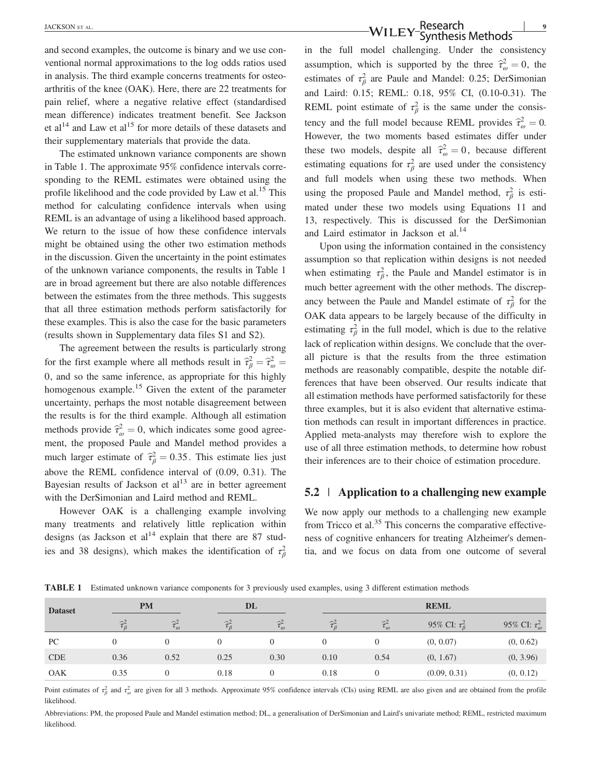and second examples, the outcome is binary and we use conventional normal approximations to the log odds ratios used in analysis. The third example concerns treatments for osteoarthritis of the knee (OAK). Here, there are 22 treatments for pain relief, where a negative relative effect (standardised mean difference) indicates treatment benefit. See Jackson et al<sup>14</sup> and Law et al<sup>15</sup> for more details of these datasets and their supplementary materials that provide the data.

The estimated unknown variance components are shown in Table 1. The approximate 95% confidence intervals corresponding to the REML estimates were obtained using the profile likelihood and the code provided by Law et al.<sup>15</sup> This method for calculating confidence intervals when using REML is an advantage of using a likelihood based approach. We return to the issue of how these confidence intervals might be obtained using the other two estimation methods in the discussion. Given the uncertainty in the point estimates of the unknown variance components, the results in Table 1 are in broad agreement but there are also notable differences between the estimates from the three methods. This suggests that all three estimation methods perform satisfactorily for these examples. This is also the case for the basic parameters (results shown in Supplementary data files S1 and S2).

The agreement between the results is particularly strong for the first example where all methods result in  $\hat{\tau}_{\beta}^2 = \hat{\tau}_{\omega}^2 =$ 0, and so the same inference, as appropriate for this highly homogenous example.<sup>15</sup> Given the extent of the parameter uncertainty, perhaps the most notable disagreement between the results is for the third example. Although all estimation methods provide  $\hat{\tau}^2_{\omega} = 0$ , which indicates some good agreement, the proposed Paule and Mandel method provides a much larger estimate of  $\hat{\tau}_{\beta}^2 = 0.35$ . This estimate lies just above the REML confidence interval of (0.09, 0.31). The Bayesian results of Jackson et  $al<sup>13</sup>$  are in better agreement with the DerSimonian and Laird method and REML.

However OAK is a challenging example involving many treatments and relatively little replication within designs (as Jackson et al<sup>14</sup> explain that there are 87 studies and 38 designs), which makes the identification of  $\tau_{\beta}^2$ 

# **JACKSON ET AL.**<br> **WILEY**-Synthesis Methods<sup>-</sup>

in the full model challenging. Under the consistency assumption, which is supported by the three  $\hat{\tau}^2_{\omega} = 0$ , the estimates of  $\tau_{\beta}^2$  are Paule and Mandel: 0.25; DerSimonian and Laird: 0.15; REML: 0.18, 95% CI, (0.10‐0.31). The REML point estimate of  $\tau_{\beta}^2$  is the same under the consistency and the full model because REML provides  $\hat{\tau}^2_{\omega} = 0$ . However, the two moments based estimates differ under these two models, despite all  $\hat{\tau}_{\omega}^2 = 0$ , because different estimating equations for  $\tau_{\beta}^2$  are used under the consistency and full models when using these two methods. When using the proposed Paule and Mandel method,  $\tau_{\beta}^2$  is estimated under these two models using Equations 11 and 13, respectively. This is discussed for the DerSimonian and Laird estimator in Jackson et al.<sup>14</sup>

Upon using the information contained in the consistency assumption so that replication within designs is not needed when estimating  $\tau_{\beta}^2$ , the Paule and Mandel estimator is in much better agreement with the other methods. The discrepancy between the Paule and Mandel estimate of  $\tau_\beta^2$  for the OAK data appears to be largely because of the difficulty in estimating  $\tau_{\beta}^2$  in the full model, which is due to the relative lack of replication within designs. We conclude that the overall picture is that the results from the three estimation methods are reasonably compatible, despite the notable differences that have been observed. Our results indicate that all estimation methods have performed satisfactorily for these three examples, but it is also evident that alternative estimation methods can result in important differences in practice. Applied meta‐analysts may therefore wish to explore the use of all three estimation methods, to determine how robust their inferences are to their choice of estimation procedure.

### 5.2 | Application to a challenging new example

We now apply our methods to a challenging new example from Tricco et al. $35$  This concerns the comparative effectiveness of cognitive enhancers for treating Alzheimer's dementia, and we focus on data from one outcome of several

TABLE 1 Estimated unknown variance components for 3 previously used examples, using 3 different estimation methods

| <b>Dataset</b> | <b>PM</b>                                 |                           | DL                                        |                           |                                           |                           | <b>REML</b>              |                           |
|----------------|-------------------------------------------|---------------------------|-------------------------------------------|---------------------------|-------------------------------------------|---------------------------|--------------------------|---------------------------|
|                | $\widehat{\tau}_{\scriptscriptstyle R}^2$ | $\widehat{\tau}^2_\omega$ | $\widehat{\tau}_{\scriptscriptstyle R}^2$ | $\widehat{\tau}^2_\omega$ | $\widehat{\tau}_{\scriptscriptstyle R}^2$ | $\widehat{\tau}^2_\omega$ | 95% CI: $\tau_{\beta}^2$ | 95% CI: $\tau_{\omega}^2$ |
| PC             |                                           | $\Omega$                  |                                           |                           |                                           |                           | (0, 0.07)                | (0, 0.62)                 |
| <b>CDE</b>     | 0.36                                      | 0.52                      | 0.25                                      | 0.30                      | 0.10                                      | 0.54                      | (0, 1.67)                | (0, 3.96)                 |
| <b>OAK</b>     | 0.35                                      | $\Omega$                  | 0.18                                      |                           | 0.18                                      |                           | (0.09, 0.31)             | (0, 0.12)                 |

Point estimates of  $\tau_p^2$  and  $\tau_w^2$  are given for all 3 methods. Approximate 95% confidence intervals (CIs) using REML are also given and are obtained from the profile likelihood.

Abbreviations: PM, the proposed Paule and Mandel estimation method; DL, a generalisation of DerSimonian and Laird's univariate method; REML, restricted maximum likelihood.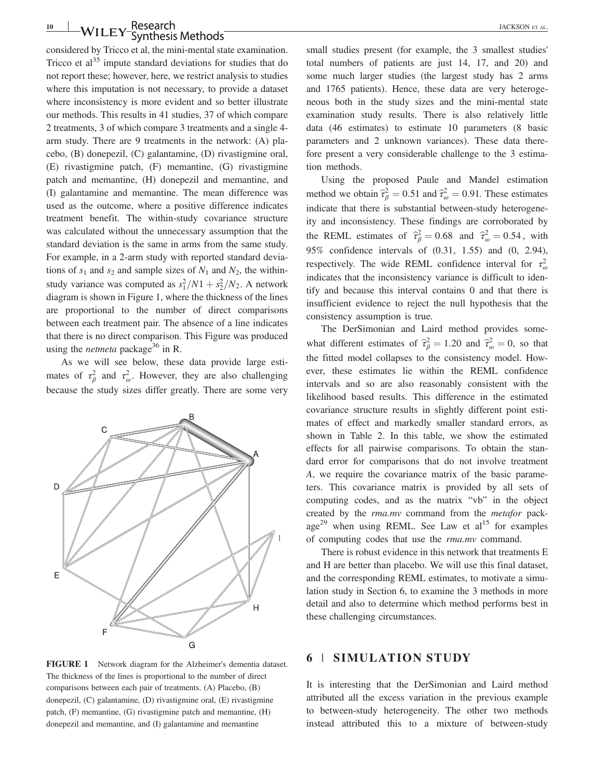considered by Tricco et al, the mini‐mental state examination. Tricco et  $al<sup>35</sup>$  impute standard deviations for studies that do not report these; however, here, we restrict analysis to studies where this imputation is not necessary, to provide a dataset where inconsistency is more evident and so better illustrate our methods. This results in 41 studies, 37 of which compare 2 treatments, 3 of which compare 3 treatments and a single 4‐ arm study. There are 9 treatments in the network: (A) placebo, (B) donepezil, (C) galantamine, (D) rivastigmine oral, (E) rivastigmine patch, (F) memantine, (G) rivastigmine patch and memantine, (H) donepezil and memantine, and (I) galantamine and memantine. The mean difference was used as the outcome, where a positive difference indicates treatment benefit. The within‐study covariance structure was calculated without the unnecessary assumption that the standard deviation is the same in arms from the same study. For example, in a 2-arm study with reported standard deviations of  $s_1$  and  $s_2$  and sample sizes of  $N_1$  and  $N_2$ , the withinstudy variance was computed as  $s_1^2/N1 + s_2^2/N_2$ . A network diagram is shown in Figure 1, where the thickness of the lines are proportional to the number of direct comparisons between each treatment pair. The absence of a line indicates that there is no direct comparison. This Figure was produced using the *netmeta* package<sup>36</sup> in R.

As we will see below, these data provide large estimates of  $\tau_{\beta}^2$  and  $\tau_{\omega}^2$ . However, they are also challenging because the study sizes differ greatly. There are some very



FIGURE 1 Network diagram for the Alzheimer's dementia dataset. The thickness of the lines is proportional to the number of direct comparisons between each pair of treatments. (A) Placebo, (B) donepezil, (C) galantamine, (D) rivastigmine oral, (E) rivastigmine patch, (F) memantine, (G) rivastigmine patch and memantine, (H) donepezil and memantine, and (I) galantamine and memantine

small studies present (for example, the 3 smallest studies' total numbers of patients are just 14, 17, and 20) and some much larger studies (the largest study has 2 arms and 1765 patients). Hence, these data are very heterogeneous both in the study sizes and the mini‐mental state examination study results. There is also relatively little data (46 estimates) to estimate 10 parameters (8 basic parameters and 2 unknown variances). These data therefore present a very considerable challenge to the 3 estimation methods.

Using the proposed Paule and Mandel estimation method we obtain  $\hat{\tau}_{\beta}^2 = 0.51$  and  $\hat{\tau}_{\omega}^2 = 0.91$ . These estimates indicate that there is substantial between‐study heterogeneity and inconsistency. These findings are corroborated by the REML estimates of  $\hat{\tau}_{\beta}^2 = 0.68$  and  $\hat{\tau}_{\omega}^2 = 0.54$ , with 95% confidence intervals of (0.31, 1.55) and (0, 2.94), respectively. The wide REML confidence interval for  $\tau_{\omega}^2$ indicates that the inconsistency variance is difficult to identify and because this interval contains 0 and that there is insufficient evidence to reject the null hypothesis that the consistency assumption is true.

The DerSimonian and Laird method provides somewhat different estimates of  $\hat{\tau}_{\beta}^2 = 1.20$  and  $\hat{\tau}_{\omega}^2 = 0$ , so that the fitted model collapses to the consistency model. However, these estimates lie within the REML confidence intervals and so are also reasonably consistent with the likelihood based results. This difference in the estimated covariance structure results in slightly different point estimates of effect and markedly smaller standard errors, as shown in Table 2. In this table, we show the estimated effects for all pairwise comparisons. To obtain the standard error for comparisons that do not involve treatment A, we require the covariance matrix of the basic parameters. This covariance matrix is provided by all sets of computing codes, and as the matrix "vb" in the object created by the rma.mv command from the metafor package<sup>29</sup> when using REML. See Law et al<sup>15</sup> for examples of computing codes that use the rma.mv command.

There is robust evidence in this network that treatments E and H are better than placebo. We will use this final dataset, and the corresponding REML estimates, to motivate a simulation study in Section 6, to examine the 3 methods in more detail and also to determine which method performs best in these challenging circumstances.

#### 6 | SIMULATION STUDY

It is interesting that the DerSimonian and Laird method attributed all the excess variation in the previous example to between‐study heterogeneity. The other two methods instead attributed this to a mixture of between‐study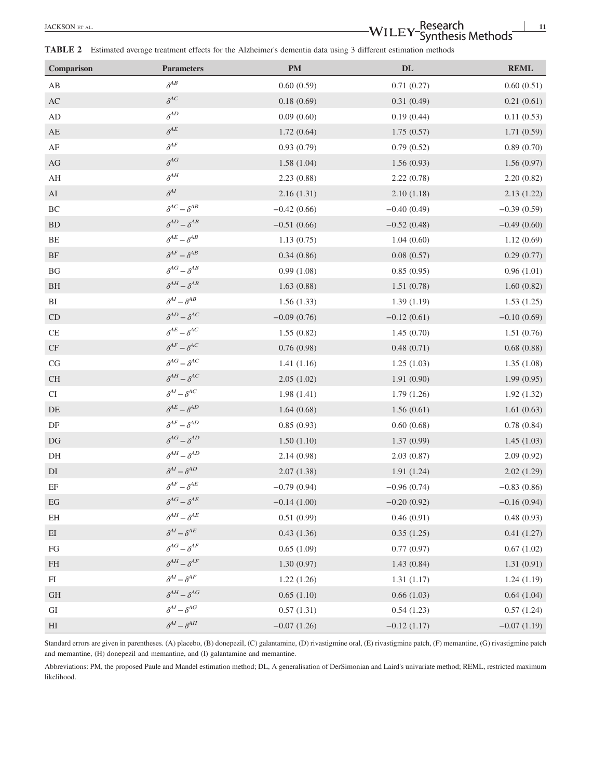# JACKSON ET AL. 11 11 12 JACKSON ET AL. 11 12 JACKSON ET AL.

TABLE 2 Estimated average treatment effects for the Alzheimer's dementia data using 3 different estimation methods

| Comparison                 | <b>Parameters</b>           | $PM$          | $\mathbf{DL}$ | <b>REML</b>   |
|----------------------------|-----------------------------|---------------|---------------|---------------|
| $\rm AB$                   | $\delta^{AB}$               | 0.60(0.59)    | 0.71(0.27)    | 0.60(0.51)    |
| $\mathbf{A}\mathbf{C}$     | $\delta^{AC}$               | 0.18(0.69)    | 0.31(0.49)    | 0.21(0.61)    |
| ${\rm AD}$                 | $\delta^{AD}$               | 0.09(0.60)    | 0.19(0.44)    | 0.11(0.53)    |
| $\rm AE$                   | $\delta^{AE}$               | 1.72(0.64)    | 1.75(0.57)    | 1.71(0.59)    |
| $\rm AF$                   | $\delta^{AF}$               | 0.93(0.79)    | 0.79(0.52)    | 0.89(0.70)    |
| $\rm{AG}$                  | $\delta^{AG}$               | 1.58(1.04)    | 1.56(0.93)    | 1.56(0.97)    |
| AH                         | $\delta^{AH}$               | 2.23(0.88)    | 2.22(0.78)    | 2.20(0.82)    |
| ${\rm AI}$                 | $\delta^{AI}$               | 2.16(1.31)    | 2.10(1.18)    | 2.13(1.22)    |
| $\operatorname{BC}$        | $\delta^{AC} - \delta^{AB}$ | $-0.42(0.66)$ | $-0.40(0.49)$ | $-0.39(0.59)$ |
| ${\rm BD}$                 | $\delta^{AD}-\delta^{AB}$   | $-0.51(0.66)$ | $-0.52(0.48)$ | $-0.49(0.60)$ |
| $\rm BE$                   | $\delta^{AE}-\delta^{AB}$   | 1.13(0.75)    | 1.04(0.60)    | 1.12(0.69)    |
| $\rm{BF}$                  | $\delta^{AF}-\delta^{AB}$   | 0.34(0.86)    | 0.08(0.57)    | 0.29(0.77)    |
| $\operatorname{B} G$       | $\delta^{AG} - \delta^{AB}$ | 0.99(1.08)    | 0.85(0.95)    | 0.96(1.01)    |
| $\mathbf{B} \mathbf{H}$    | $\delta^{AH}-\delta^{AB}$   | 1.63(0.88)    | 1.51(0.78)    | 1.60(0.82)    |
| BI                         | $\delta^{AI} - \delta^{AB}$ | 1.56(1.33)    | 1.39(1.19)    | 1.53(1.25)    |
| $\mathop{\rm CD}$          | $\delta^{AD}-\delta^{AC}$   | $-0.09(0.76)$ | $-0.12(0.61)$ | $-0.10(0.69)$ |
| $\!$ $\!$                  | $\delta^{AE}-\delta^{AC}$   | 1.55(0.82)    | 1.45(0.70)    | 1.51(0.76)    |
| $\cal{CF}$                 | $\delta^{AF}-\delta^{AC}$   | 0.76(0.98)    | 0.48(0.71)    | 0.68(0.88)    |
| $\rm{CG}$                  | $\delta^{AG} - \delta^{AC}$ | 1.41(1.16)    | 1.25(1.03)    | 1.35(1.08)    |
| $\operatorname{CH}$        | $\delta^{AH}-\delta^{AC}$   | 2.05(1.02)    | 1.91(0.90)    | 1.99(0.95)    |
| CI                         | $\delta^{AI} - \delta^{AC}$ | 1.98(1.41)    | 1.79(1.26)    | 1.92(1.32)    |
| $\rm DE$                   | $\delta^{AE}-\delta^{AD}$   | 1.64(0.68)    | 1.56(0.61)    | 1.61(0.63)    |
| $\ensuremath{\mathsf{DF}}$ | $\delta^{AF}-\delta^{AD}$   | 0.85(0.93)    | 0.60(0.68)    | 0.78(0.84)    |
| DG                         | $\delta^{AG} - \delta^{AD}$ | 1.50(1.10)    | 1.37(0.99)    | 1.45(1.03)    |
| DH                         | $\delta^{AH}-\delta^{AD}$   | 2.14(0.98)    | 2.03(0.87)    | 2.09(0.92)    |
| $\mathop{\rm DI}$          | $\delta^{AI} - \delta^{AD}$ | 2.07(1.38)    | 1.91(1.24)    | 2.02(1.29)    |
| $\rm EF$                   | $\delta^{AF}-\delta^{AE}$   | $-0.79(0.94)$ | $-0.96(0.74)$ | $-0.83(0.86)$ |
| EG                         | $\delta^{AG} - \delta^{AE}$ | $-0.14(1.00)$ | $-0.20(0.92)$ | $-0.16(0.94)$ |
| EH                         | $\delta^{AH} - \delta^{AE}$ | 0.51(0.99)    | 0.46(0.91)    | 0.48(0.93)    |
| EI                         | $\delta^{AI} - \delta^{AE}$ | 0.43(1.36)    | 0.35(1.25)    | 0.41(1.27)    |
| FG                         | $\delta^{AG} - \delta^{AF}$ | 0.65(1.09)    | 0.77(0.97)    | 0.67(1.02)    |
| $\mathcal{F}\mathcal{H}$   | $\delta^{AH}-\delta^{AF}$   | 1.30(0.97)    | 1.43(0.84)    | 1.31(0.91)    |
| FI                         | $\delta^{AI} - \delta^{AF}$ | 1.22(1.26)    | 1.31(1.17)    | 1.24(1.19)    |
| $\mathbf{G}\mathbf{H}$     | $\delta^{AH}-\delta^{AG}$   | 0.65(1.10)    | 0.66(1.03)    | 0.64(1.04)    |
| ${\rm GI}$                 | $\delta^{AI} - \delta^{AG}$ | 0.57(1.31)    | 0.54(1.23)    | 0.57(1.24)    |
| H <sub>I</sub>             | $\delta^{AI} - \delta^{AH}$ | $-0.07(1.26)$ | $-0.12(1.17)$ | $-0.07(1.19)$ |

Standard errors are given in parentheses. (A) placebo, (B) donepezil, (C) galantamine, (D) rivastigmine oral, (E) rivastigmine patch, (F) memantine, (G) rivastigmine patch and memantine, (H) donepezil and memantine, and (I) galantamine and memantine.

Abbreviations: PM, the proposed Paule and Mandel estimation method; DL, A generalisation of DerSimonian and Laird's univariate method; REML, restricted maximum likelihood.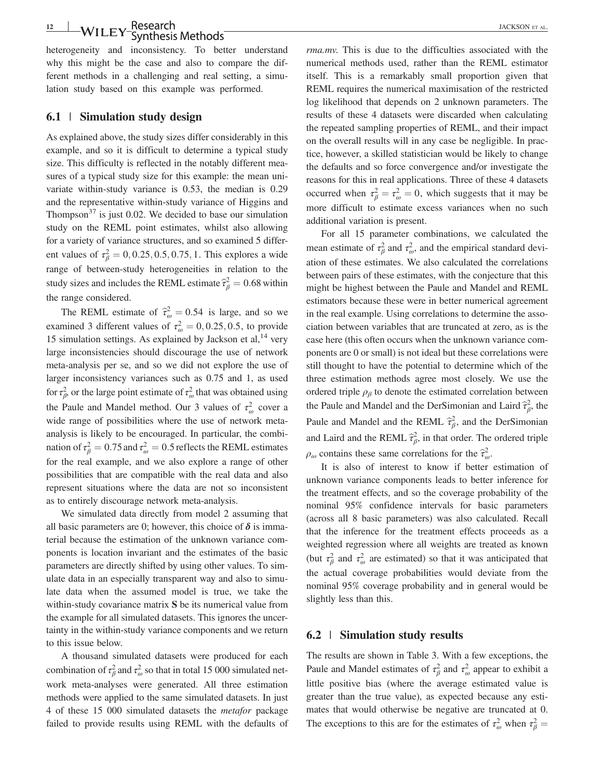# 12 | WILEY<sup>-Research</sup><br>WILEY<sup>-</sup>Synthesis Methods **Methods** All the second of the synthesis Methods **MackSON** ET AL.

heterogeneity and inconsistency. To better understand why this might be the case and also to compare the different methods in a challenging and real setting, a simulation study based on this example was performed.

### 6.1 | Simulation study design

As explained above, the study sizes differ considerably in this example, and so it is difficult to determine a typical study size. This difficulty is reflected in the notably different measures of a typical study size for this example: the mean univariate within‐study variance is 0.53, the median is 0.29 and the representative within‐study variance of Higgins and Thompson<sup>37</sup> is just 0.02. We decided to base our simulation study on the REML point estimates, whilst also allowing for a variety of variance structures, and so examined 5 different values of  $\tau_{\beta}^2 = 0, 0.25, 0.5, 0.75, 1$ . This explores a wide range of between‐study heterogeneities in relation to the study sizes and includes the REML estimate  $\hat{\tau}_{\beta}^2 = 0.68$  within the range considered.

The REML estimate of  $\hat{\tau}^2_{\omega} = 0.54$  is large, and so we examined 3 different values of  $\tau_{\omega}^2 = 0, 0.25, 0.5$ , to provide 15 simulation settings. As explained by Jackson et al, $^{14}$  very large inconsistencies should discourage the use of network meta‐analysis per se, and so we did not explore the use of larger inconsistency variances such as 0.75 and 1, as used for  $\tau_{\beta}^2$ , or the large point estimate of  $\tau_{\omega}^2$  that was obtained using the Paule and Mandel method. Our 3 values of  $\tau_{\omega}^2$  cover a wide range of possibilities where the use of network metaanalysis is likely to be encouraged. In particular, the combination of  $\tau_{\beta}^2 = 0.75$  and  $\tau_{\omega}^2 = 0.5$  reflects the REML estimates for the real example, and we also explore a range of other possibilities that are compatible with the real data and also represent situations where the data are not so inconsistent as to entirely discourage network meta‐analysis.

We simulated data directly from model 2 assuming that all basic parameters are 0; however, this choice of  $\delta$  is immaterial because the estimation of the unknown variance components is location invariant and the estimates of the basic parameters are directly shifted by using other values. To simulate data in an especially transparent way and also to simulate data when the assumed model is true, we take the within-study covariance matrix S be its numerical value from the example for all simulated datasets. This ignores the uncertainty in the within‐study variance components and we return to this issue below.

A thousand simulated datasets were produced for each combination of  $\tau_\beta^2$  and  $\tau_\omega^2$  so that in total 15 000 simulated network meta‐analyses were generated. All three estimation methods were applied to the same simulated datasets. In just 4 of these 15 000 simulated datasets the metafor package failed to provide results using REML with the defaults of rma.mv. This is due to the difficulties associated with the numerical methods used, rather than the REML estimator itself. This is a remarkably small proportion given that REML requires the numerical maximisation of the restricted log likelihood that depends on 2 unknown parameters. The results of these 4 datasets were discarded when calculating the repeated sampling properties of REML, and their impact on the overall results will in any case be negligible. In practice, however, a skilled statistician would be likely to change the defaults and so force convergence and/or investigate the reasons for this in real applications. Three of these 4 datasets occurred when  $\tau_{\beta}^2 = \tau_{\omega}^2 = 0$ , which suggests that it may be more difficult to estimate excess variances when no such additional variation is present.

For all 15 parameter combinations, we calculated the mean estimate of  $\tau_{\beta}^2$  and  $\tau_{\omega}^2$ , and the empirical standard deviation of these estimates. We also calculated the correlations between pairs of these estimates, with the conjecture that this might be highest between the Paule and Mandel and REML estimators because these were in better numerical agreement in the real example. Using correlations to determine the association between variables that are truncated at zero, as is the case here (this often occurs when the unknown variance components are 0 or small) is not ideal but these correlations were still thought to have the potential to determine which of the three estimation methods agree most closely. We use the ordered triple  $\rho_{\beta}$  to denote the estimated correlation between the Paule and Mandel and the DerSimonian and Laird  $\hat{\tau}_{\beta}^2$ , the Paule and Mandel and the REML  $\hat{\tau}_{\beta}^2$ , and the DerSimonian and Laird and the REML  $\hat{\tau}_{\beta}^2$ , in that order. The ordered triple  $\rho_{\omega}$  contains these same correlations for the  $\hat{\tau}^2_{\omega}$ .

It is also of interest to know if better estimation of unknown variance components leads to better inference for the treatment effects, and so the coverage probability of the nominal 95% confidence intervals for basic parameters (across all 8 basic parameters) was also calculated. Recall that the inference for the treatment effects proceeds as a weighted regression where all weights are treated as known (but  $\tau_{\beta}^2$  and  $\tau_{\omega}^2$  are estimated) so that it was anticipated that the actual coverage probabilities would deviate from the nominal 95% coverage probability and in general would be slightly less than this.

#### 6.2 | Simulation study results

The results are shown in Table 3. With a few exceptions, the Paule and Mandel estimates of  $\tau_\beta^2$  and  $\tau_\omega^2$  appear to exhibit a little positive bias (where the average estimated value is greater than the true value), as expected because any estimates that would otherwise be negative are truncated at 0. The exceptions to this are for the estimates of  $\tau_\omega^2$  when  $\tau_\beta^2 =$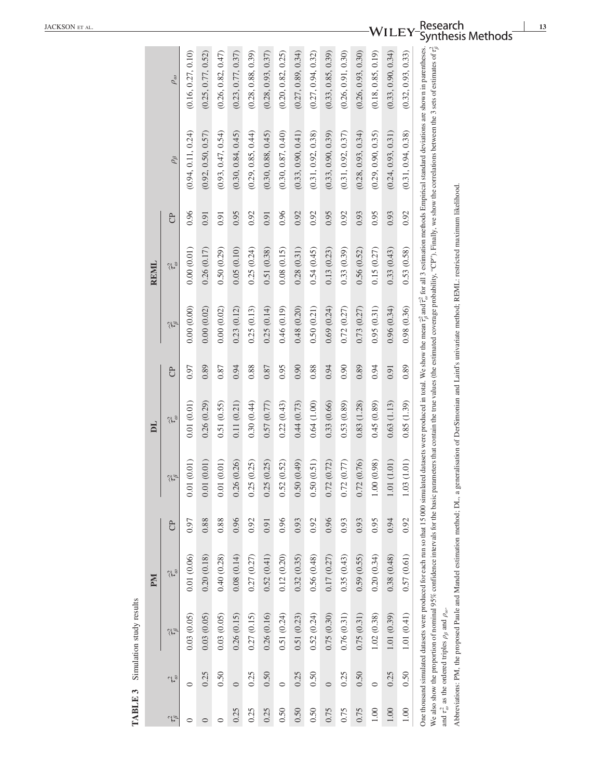|      |             | Md                           |      |                           |                             |                 |                  | REMIL                              |              |                    |                    |
|------|-------------|------------------------------|------|---------------------------|-----------------------------|-----------------|------------------|------------------------------------|--------------|--------------------|--------------------|
|      | H           | $\widetilde{t}_{\mathrm{g}}$ | පි   | $\widetilde{t}_{\beta}^2$ | $\mathcal{E}_{\mathcal{G}}$ | CP <sub>1</sub> | $\gamma_{\rm e}$ | $\widetilde{\iota}_{\mathfrak{g}}$ | <sup>e</sup> | $\rho_\beta$       | $\rho_\omega$      |
|      | 0.03(0.05)  | 0.01(0.06)                   | 0.97 | 0.01(0.01)                | 0.01(0.01)                  | 0.97            | 0.00(0.00)       | 0.00(0.01)                         | 0.96         | (0.94, 0.11, 0.24) | (0.16, 0.27, 0.10) |
|      | 0.03(0.05)  | 0.20(0.18)                   | 0.88 | 0.01(0.01)                | 0.26(0.29)                  | 0.89            | 0.00(0.02)       | 0.26(0.17)                         | 0.91         | (0.92, 0.50, 0.57) | (0.25, 0.77, 0.52) |
|      | 0.03(0.05)  | 0.40(0.28)                   | 0.88 | 0.01(0.01)                | 0.51(0.55)                  | 0.87            | 0.00(0.02)       | 0.50(0.29)                         | 0.91         | (0.93, 0.47, 0.54) | (0.26, 0.82, 0.47) |
|      | 0.26(0.15)  | 0.08(0.14)                   | 0.96 | .26(0.26)<br>$\circ$      | 0.11(0.21)                  | 0.94            | 0.23(0.12)       | 0.05(0.10)                         | 0.95         | (0.30, 0.84, 0.45) | (0.23, 0.77, 0.37) |
|      | 0.27(0.15)  | 0.27(0.27)                   | 0.92 | .25(0.25)                 | 0.30(0.44)                  | 0.88            | 0.25(0.13)       | 0.25(0.24)                         | 0.92         | (0.29, 0.85, 0.44) | (0.28, 0.88, 0.39) |
|      | 0.26(0.16)  | 0.52(0.41)                   | 0.91 | .25(0.25)<br>Ö            | 0.57(0.77)                  | 0.87            | 0.25(0.14)       | 0.51(0.38)                         | 0.91         | (0.30, 0.88, 0.45) | (0.28, 0.93, 0.37) |
|      | 0.51(0.24)  | 0.12(0.20)                   | 0.96 | 0.52(0.52)                | 0.22(0.43)                  | 0.95            | 0.46(0.19)       | 0.08(0.15)                         | 0.96         | (0.30, 0.87, 0.40) | (0.20, 0.82, 0.25) |
| 0.25 | 0.51(0.23)  | 0.32(0.35)                   | 0.93 | $(64.0)$ $0.5$            | 0.44(0.73)                  | 0.90            | 0.48(0.20)       | 0.28(0.31)                         | 0.92         | (0.33, 0.90, 0.41) | (0.27, 0.89, 0.34) |
| 0.50 | 0.52(0.24)  | 0.56(0.48)                   | 0.92 | .50(0.51)<br>0            | 0.64(1.00)                  | 0.88            | 0.50(0.21)       | 0.54(0.45)                         | 0.92         | (0.31, 0.92, 0.38) | (0.27, 0.94, 0.32) |
|      | 0.75(0.30)  | 0.17(0.27)                   | 0.96 | 0.72(0.72)                | 0.33(0.66)                  | 0.94            | 0.69(0.24)       | 0.13(0.23)                         | 0.95         | (0.33, 0.90, 0.39) | (0.33, 0.85, 0.39) |
| 0.25 | 0.76(0.31)  | 0.35(0.43)                   | 0.93 | .72(0.77)                 | 0.53(0.89)                  | 0.90            | 0.72(0.27)       | 0.33(0.39)                         | 0.92         | (0.31, 0.92, 0.37) | (0.26, 0.91, 0.30) |
| 0.50 | 0.75(0.31)  | 0.59(0.55)                   | 0.93 | .72(0.76)                 | 0.83(1.28)                  | 0.89            | 0.73(0.27)       | 0.56(0.52)                         | 0.93         | (0.28, 0.93, 0.34) | (0.26, 0.93, 0.30) |
|      | 1.02(0.38)  | 0.20(0.34)                   | 0.95 | (980, 00, 00)             | 0.45(0.89)                  | 0.94            | 0.95(0.31)       | 0.15(0.27)                         | 0.95         | (0.29, 0.90, 0.35) | (0.18, 0.85, 0.19) |
| 0.25 | 1.01 (0.39) | 0.38(0.48)                   | 0.94 | .01(1.01)                 | 0.63(1.13)                  | 0.91            | 0.96(0.34)       | 0.33(0.43)                         | 0.93         | (0.24, 0.93, 0.31) | (0.33, 0.90, 0.34) |
| 0.50 | 1.01(0.41)  | 0.57(0.61)                   | 0.92 | .03(1.01)                 | 0.85(1.39)                  | 0.89            | 0.98(0.36)       | 0.53(0.58)                         | 0.92         | (0.31, 0.94, 0.38) | (0.32, 0.93, 0.33) |

We also show the proportion of nominal 95% confidence intervals for the basic parameters that contain the true values (the estimated coverage probability, "CP"). Finally, we show the correlations between the 3 sets of est ed coverage probability, "CP"). Finally, we show the Ë para para intervals for the mce We also show the proportion of nominal 95<br>and  $\tau_{\omega}^2$  as the ordered triples  $\rho_{\beta}$  and  $\rho_{\omega}$ . and  $\tau_{\omega}^2$  as the ordered triples  $\rho_{\beta}$  and  $\rho_{\omega}$ .

Abbreviations: PM, the proposed Paule and Mandel estimation method; DL, a generalisation of DerSimonian and Laird's univariate method; REML: restricted maximum likelihood. Abbreviations: PM, the proposed Paule and Mandel estimation method; DL, a generalisation of DerSimonian and Laird's univariate method; REML: restricted maximum likelihood.

TABLE 3 Simulation study results

TABLE 3 Simulation study results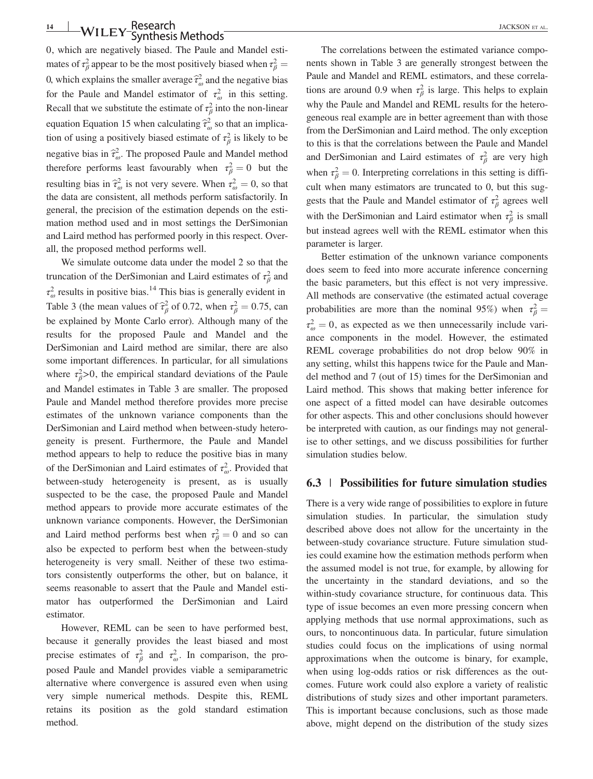# 14 | WILEY<sup>-Research</sup><br>WILEY<sup>-</sup>Svnthesis Methods<br>
<sub>14</sub> | WILEY-Svnthesis Methods

0, which are negatively biased. The Paule and Mandel estimates of  $\tau_\beta^2$  appear to be the most positively biased when  $\tau_\beta^2 =$ 0, which explains the smaller average  $\hat{\tau}^2_{\omega}$  and the negative bias for the Paule and Mandel estimator of  $\tau_{\omega}^2$  in this setting. Recall that we substitute the estimate of  $\tau_{\beta}^2$  into the non-linear equation Equation 15 when calculating  $\hat{\tau}^2_{\omega}$  so that an implication of using a positively biased estimate of  $\tau_{\beta}^2$  is likely to be negative bias in  $\hat{\tau}_{\omega}^2$ . The proposed Paule and Mandel method therefore performs least favourably when  $\tau_{\beta}^2 = 0$  but the resulting bias in  $\hat{\tau}^2_{\omega}$  is not very severe. When  $\tau^2_{\omega} = 0$ , so that the data are consistent, all methods perform satisfactorily. In general, the precision of the estimation depends on the estimation method used and in most settings the DerSimonian and Laird method has performed poorly in this respect. Overall, the proposed method performs well.

We simulate outcome data under the model 2 so that the truncation of the DerSimonian and Laird estimates of  $\tau_\beta^2$  and  $\tau_{\omega}^2$  results in positive bias.<sup>14</sup> This bias is generally evident in Table 3 (the mean values of  $\hat{\tau}_{\beta}^2$  of 0.72, when  $\tau_{\beta}^2 = 0.75$ , can be explained by Monte Carlo error). Although many of the results for the proposed Paule and Mandel and the DerSimonian and Laird method are similar, there are also some important differences. In particular, for all simulations where  $\tau_{\beta}^2$  >0, the empirical standard deviations of the Paule and Mandel estimates in Table 3 are smaller. The proposed Paule and Mandel method therefore provides more precise estimates of the unknown variance components than the DerSimonian and Laird method when between‐study heterogeneity is present. Furthermore, the Paule and Mandel method appears to help to reduce the positive bias in many of the DerSimonian and Laird estimates of  $\tau_{\omega}^2$ . Provided that between‐study heterogeneity is present, as is usually suspected to be the case, the proposed Paule and Mandel method appears to provide more accurate estimates of the unknown variance components. However, the DerSimonian and Laird method performs best when  $\tau_{\beta}^2 = 0$  and so can also be expected to perform best when the between‐study heterogeneity is very small. Neither of these two estimators consistently outperforms the other, but on balance, it seems reasonable to assert that the Paule and Mandel estimator has outperformed the DerSimonian and Laird estimator.

However, REML can be seen to have performed best, because it generally provides the least biased and most precise estimates of  $\tau_{\beta}^2$  and  $\tau_{\omega}^2$ . In comparison, the proposed Paule and Mandel provides viable a semiparametric alternative where convergence is assured even when using very simple numerical methods. Despite this, REML retains its position as the gold standard estimation method.

The correlations between the estimated variance components shown in Table 3 are generally strongest between the Paule and Mandel and REML estimators, and these correlations are around 0.9 when  $\tau_{\beta}^2$  is large. This helps to explain why the Paule and Mandel and REML results for the heterogeneous real example are in better agreement than with those from the DerSimonian and Laird method. The only exception to this is that the correlations between the Paule and Mandel and DerSimonian and Laird estimates of  $\tau_\beta^2$  are very high when  $\tau_{\beta}^2 = 0$ . Interpreting correlations in this setting is difficult when many estimators are truncated to 0, but this suggests that the Paule and Mandel estimator of  $\tau_\beta^2$  agrees well with the DerSimonian and Laird estimator when  $\tau_{\beta}^2$  is small but instead agrees well with the REML estimator when this parameter is larger.

Better estimation of the unknown variance components does seem to feed into more accurate inference concerning the basic parameters, but this effect is not very impressive. All methods are conservative (the estimated actual coverage probabilities are more than the nominal 95%) when  $\tau_{\beta}^2 =$  $\tau_{\omega}^2 = 0$ , as expected as we then unnecessarily include variance components in the model. However, the estimated REML coverage probabilities do not drop below 90% in any setting, whilst this happens twice for the Paule and Mandel method and 7 (out of 15) times for the DerSimonian and Laird method. This shows that making better inference for one aspect of a fitted model can have desirable outcomes for other aspects. This and other conclusions should however be interpreted with caution, as our findings may not generalise to other settings, and we discuss possibilities for further simulation studies below.

#### 6.3 | Possibilities for future simulation studies

There is a very wide range of possibilities to explore in future simulation studies. In particular, the simulation study described above does not allow for the uncertainty in the between‐study covariance structure. Future simulation studies could examine how the estimation methods perform when the assumed model is not true, for example, by allowing for the uncertainty in the standard deviations, and so the within-study covariance structure, for continuous data. This type of issue becomes an even more pressing concern when applying methods that use normal approximations, such as ours, to noncontinuous data. In particular, future simulation studies could focus on the implications of using normal approximations when the outcome is binary, for example, when using log-odds ratios or risk differences as the outcomes. Future work could also explore a variety of realistic distributions of study sizes and other important parameters. This is important because conclusions, such as those made above, might depend on the distribution of the study sizes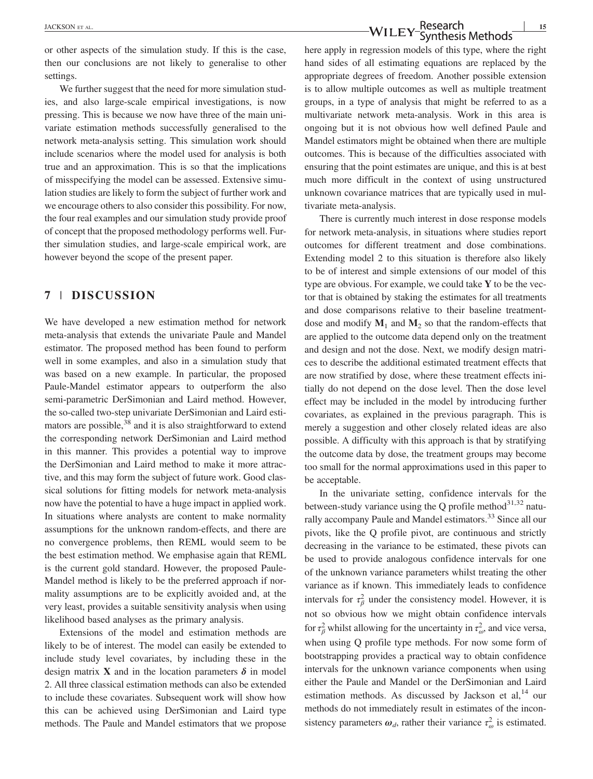or other aspects of the simulation study. If this is the case, then our conclusions are not likely to generalise to other settings.

We further suggest that the need for more simulation studies, and also large‐scale empirical investigations, is now pressing. This is because we now have three of the main univariate estimation methods successfully generalised to the network meta‐analysis setting. This simulation work should include scenarios where the model used for analysis is both true and an approximation. This is so that the implications of misspecifying the model can be assessed. Extensive simulation studies are likely to form the subject of further work and we encourage others to also consider this possibility. For now, the four real examples and our simulation study provide proof of concept that the proposed methodology performs well. Further simulation studies, and large‐scale empirical work, are however beyond the scope of the present paper.

### 7 | DISCUSSION

We have developed a new estimation method for network meta‐analysis that extends the univariate Paule and Mandel estimator. The proposed method has been found to perform well in some examples, and also in a simulation study that was based on a new example. In particular, the proposed Paule‐Mandel estimator appears to outperform the also semi-parametric DerSimonian and Laird method. However, the so-called two-step univariate DerSimonian and Laird estimators are possible, $38$  and it is also straightforward to extend the corresponding network DerSimonian and Laird method in this manner. This provides a potential way to improve the DerSimonian and Laird method to make it more attractive, and this may form the subject of future work. Good classical solutions for fitting models for network meta-analysis now have the potential to have a huge impact in applied work. In situations where analysts are content to make normality assumptions for the unknown random‐effects, and there are no convergence problems, then REML would seem to be the best estimation method. We emphasise again that REML is the current gold standard. However, the proposed Paule‐ Mandel method is likely to be the preferred approach if normality assumptions are to be explicitly avoided and, at the very least, provides a suitable sensitivity analysis when using likelihood based analyses as the primary analysis.

Extensions of the model and estimation methods are likely to be of interest. The model can easily be extended to include study level covariates, by including these in the design matrix **X** and in the location parameters  $\delta$  in model 2. All three classical estimation methods can also be extended to include these covariates. Subsequent work will show how this can be achieved using DerSimonian and Laird type methods. The Paule and Mandel estimators that we propose

# **JACKSON ET AL.**<br> **WILEY-Synthesis Methods**

here apply in regression models of this type, where the right hand sides of all estimating equations are replaced by the appropriate degrees of freedom. Another possible extension is to allow multiple outcomes as well as multiple treatment groups, in a type of analysis that might be referred to as a multivariate network meta‐analysis. Work in this area is ongoing but it is not obvious how well defined Paule and Mandel estimators might be obtained when there are multiple outcomes. This is because of the difficulties associated with ensuring that the point estimates are unique, and this is at best much more difficult in the context of using unstructured unknown covariance matrices that are typically used in multivariate meta‐analysis.

There is currently much interest in dose response models for network meta‐analysis, in situations where studies report outcomes for different treatment and dose combinations. Extending model 2 to this situation is therefore also likely to be of interest and simple extensions of our model of this type are obvious. For example, we could take  $Y$  to be the vector that is obtained by staking the estimates for all treatments and dose comparisons relative to their baseline treatmentdose and modify  $M_1$  and  $M_2$  so that the random-effects that are applied to the outcome data depend only on the treatment and design and not the dose. Next, we modify design matrices to describe the additional estimated treatment effects that are now stratified by dose, where these treatment effects initially do not depend on the dose level. Then the dose level effect may be included in the model by introducing further covariates, as explained in the previous paragraph. This is merely a suggestion and other closely related ideas are also possible. A difficulty with this approach is that by stratifying the outcome data by dose, the treatment groups may become too small for the normal approximations used in this paper to be acceptable.

In the univariate setting, confidence intervals for the between-study variance using the Q profile method $^{31,32}$  naturally accompany Paule and Mandel estimators.<sup>33</sup> Since all our pivots, like the Q profile pivot, are continuous and strictly decreasing in the variance to be estimated, these pivots can be used to provide analogous confidence intervals for one of the unknown variance parameters whilst treating the other variance as if known. This immediately leads to confidence intervals for  $\tau_{\beta}^2$  under the consistency model. However, it is not so obvious how we might obtain confidence intervals for  $\tau_\beta^2$  whilst allowing for the uncertainty in  $\tau_\omega^2$ , and vice versa, when using Q profile type methods. For now some form of bootstrapping provides a practical way to obtain confidence intervals for the unknown variance components when using either the Paule and Mandel or the DerSimonian and Laird estimation methods. As discussed by Jackson et al,<sup>14</sup> our methods do not immediately result in estimates of the inconsistency parameters  $\boldsymbol{\omega}_d$ , rather their variance  $\tau_\omega^2$  is estimated.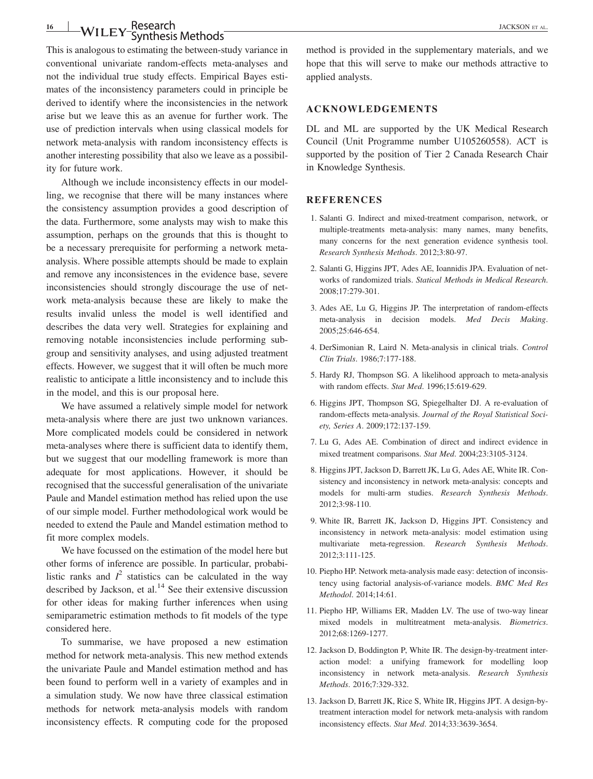# 16 | WILEY<sup>-Research</sup><br>WILEY<sup>-</sup>Synthesis Methods<br>
Contact and the set of the set of the set of the set of the set of the set of the set of the set of the set of the set of the set of the set of the set of the set of the set

This is analogous to estimating the between‐study variance in conventional univariate random‐effects meta‐analyses and not the individual true study effects. Empirical Bayes estimates of the inconsistency parameters could in principle be derived to identify where the inconsistencies in the network arise but we leave this as an avenue for further work. The use of prediction intervals when using classical models for network meta‐analysis with random inconsistency effects is another interesting possibility that also we leave as a possibility for future work.

Although we include inconsistency effects in our modelling, we recognise that there will be many instances where the consistency assumption provides a good description of the data. Furthermore, some analysts may wish to make this assumption, perhaps on the grounds that this is thought to be a necessary prerequisite for performing a network metaanalysis. Where possible attempts should be made to explain and remove any inconsistences in the evidence base, severe inconsistencies should strongly discourage the use of network meta‐analysis because these are likely to make the results invalid unless the model is well identified and describes the data very well. Strategies for explaining and removing notable inconsistencies include performing subgroup and sensitivity analyses, and using adjusted treatment effects. However, we suggest that it will often be much more realistic to anticipate a little inconsistency and to include this in the model, and this is our proposal here.

We have assumed a relatively simple model for network meta‐analysis where there are just two unknown variances. More complicated models could be considered in network meta-analyses where there is sufficient data to identify them, but we suggest that our modelling framework is more than adequate for most applications. However, it should be recognised that the successful generalisation of the univariate Paule and Mandel estimation method has relied upon the use of our simple model. Further methodological work would be needed to extend the Paule and Mandel estimation method to fit more complex models.

We have focussed on the estimation of the model here but other forms of inference are possible. In particular, probabilistic ranks and  $I^2$  statistics can be calculated in the way described by Jackson, et al. $^{14}$  See their extensive discussion for other ideas for making further inferences when using semiparametric estimation methods to fit models of the type considered here.

To summarise, we have proposed a new estimation method for network meta‐analysis. This new method extends the univariate Paule and Mandel estimation method and has been found to perform well in a variety of examples and in a simulation study. We now have three classical estimation methods for network meta‐analysis models with random inconsistency effects. R computing code for the proposed

method is provided in the supplementary materials, and we hope that this will serve to make our methods attractive to applied analysts.

#### ACKNOWLEDGEMENTS

DL and ML are supported by the UK Medical Research Council (Unit Programme number U105260558). ACT is supported by the position of Tier 2 Canada Research Chair in Knowledge Synthesis.

#### **REFERENCES**

- 1. Salanti G. Indirect and mixed‐treatment comparison, network, or multiple‐treatments meta‐analysis: many names, many benefits, many concerns for the next generation evidence synthesis tool. Research Synthesis Methods. 2012;3:80‐97.
- 2. Salanti G, Higgins JPT, Ades AE, Ioannidis JPA. Evaluation of networks of randomized trials. Statical Methods in Medical Research. 2008;17:279‐301.
- 3. Ades AE, Lu G, Higgins JP. The interpretation of random‐effects meta-analysis in decision models. Med Decis Making. 2005;25:646‐654.
- 4. DerSimonian R, Laird N. Meta‐analysis in clinical trials. Control Clin Trials. 1986;7:177‐188.
- 5. Hardy RJ, Thompson SG. A likelihood approach to meta‐analysis with random effects. Stat Med. 1996;15:619‐629.
- 6. Higgins JPT, Thompson SG, Spiegelhalter DJ. A re‐evaluation of random-effects meta-analysis. Journal of the Royal Statistical Society, Series A. 2009;172:137‐159.
- 7. Lu G, Ades AE. Combination of direct and indirect evidence in mixed treatment comparisons. Stat Med. 2004;23:3105‐3124.
- 8. Higgins JPT, Jackson D, Barrett JK, Lu G, Ades AE, White IR. Consistency and inconsistency in network meta‐analysis: concepts and models for multi-arm studies. Research Synthesis Methods. 2012;3:98‐110.
- 9. White IR, Barrett JK, Jackson D, Higgins JPT. Consistency and inconsistency in network meta‐analysis: model estimation using multivariate meta‐regression. Research Synthesis Methods. 2012;3:111‐125.
- 10. Piepho HP. Network meta‐analysis made easy: detection of inconsistency using factorial analysis-of-variance models. BMC Med Res Methodol. 2014;14:61.
- 11. Piepho HP, Williams ER, Madden LV. The use of two‐way linear mixed models in multitreatment meta‐analysis. Biometrics. 2012;68:1269‐1277.
- 12. Jackson D, Boddington P, White IR. The design-by-treatment interaction model: a unifying framework for modelling loop inconsistency in network meta-analysis. Research Synthesis Methods. 2016;7:329‐332.
- 13. Jackson D, Barrett JK, Rice S, White IR, Higgins JPT. A design‐by‐ treatment interaction model for network meta‐analysis with random inconsistency effects. Stat Med. 2014;33:3639‐3654.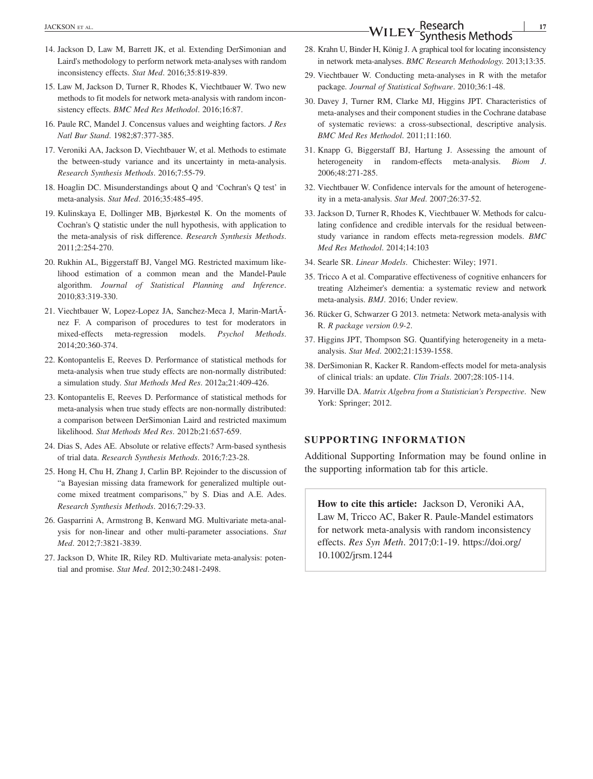# **JACKSON ET AL.** 17<br> **WILEY** Synthesis Methods 17

- 14. Jackson D, Law M, Barrett JK, et al. Extending DerSimonian and Laird's methodology to perform network meta‐analyses with random inconsistency effects. Stat Med. 2016;35:819‐839.
- 15. Law M, Jackson D, Turner R, Rhodes K, Viechtbauer W. Two new methods to fit models for network meta‐analysis with random inconsistency effects. BMC Med Res Methodol. 2016;16:87.
- 16. Paule RC, Mandel J. Concensus values and weighting factors. J Res Natl Bur Stand. 1982;87:377‐385.
- 17. Veroniki AA, Jackson D, Viechtbauer W, et al. Methods to estimate the between-study variance and its uncertainty in meta-analysis. Research Synthesis Methods. 2016;7:55‐79.
- 18. Hoaglin DC. Misunderstandings about Q and 'Cochran's Q test' in meta‐analysis. Stat Med. 2016;35:485‐495.
- 19. Kulinskaya E, Dollinger MB, Bjørkestøl K. On the moments of Cochran's Q statistic under the null hypothesis, with application to the meta-analysis of risk difference. Research Synthesis Methods. 2011;2:254‐270.
- 20. Rukhin AL, Biggerstaff BJ, Vangel MG. Restricted maximum likelihood estimation of a common mean and the Mandel‐Paule algorithm. Journal of Statistical Planning and Inference. 2010;83:319‐330.
- 21. Viechtbauer W, Lopez‐Lopez JA, Sanchez‐Meca J, Marin‐MartÃ‐ nez F. A comparison of procedures to test for moderators in mixed-effects meta-regression models. Psychol Methods. 2014;20:360‐374.
- 22. Kontopantelis E, Reeves D. Performance of statistical methods for meta‐analysis when true study effects are non‐normally distributed: a simulation study. Stat Methods Med Res. 2012a;21:409‐426.
- 23. Kontopantelis E, Reeves D. Performance of statistical methods for meta-analysis when true study effects are non-normally distributed: a comparison between DerSimonian Laird and restricted maximum likelihood. Stat Methods Med Res. 2012b;21:657‐659.
- 24. Dias S, Ades AE. Absolute or relative effects? Arm‐based synthesis of trial data. Research Synthesis Methods. 2016;7:23‐28.
- 25. Hong H, Chu H, Zhang J, Carlin BP. Rejoinder to the discussion of "a Bayesian missing data framework for generalized multiple outcome mixed treatment comparisons," by S. Dias and A.E. Ades. Research Synthesis Methods. 2016;7:29‐33.
- 26. Gasparrini A, Armstrong B, Kenward MG. Multivariate meta‐analysis for non-linear and other multi-parameter associations. Stat Med. 2012;7:3821‐3839.
- 27. Jackson D, White IR, Riley RD. Multivariate meta‐analysis: potential and promise. Stat Med. 2012;30:2481‐2498.
- 28. Krahn U, Binder H, König J. A graphical tool for locating inconsistency in network meta-analyses. BMC Research Methodology. 2013;13:35.
- 29. Viechtbauer W. Conducting meta‐analyses in R with the metafor package. Journal of Statistical Software. 2010;36:1‐48.
- 30. Davey J, Turner RM, Clarke MJ, Higgins JPT. Characteristics of meta‐analyses and their component studies in the Cochrane database of systematic reviews: a cross‐subsectional, descriptive analysis. BMC Med Res Methodol. 2011;11:160.
- 31. Knapp G, Biggerstaff BJ, Hartung J. Assessing the amount of heterogeneity in random-effects meta-analysis. *Biom J.* 2006;48:271‐285.
- 32. Viechtbauer W. Confidence intervals for the amount of heterogeneity in a meta‐analysis. Stat Med. 2007;26:37‐52.
- 33. Jackson D, Turner R, Rhodes K, Viechtbauer W. Methods for calculating confidence and credible intervals for the residual betweenstudy variance in random effects meta-regression models. BMC Med Res Methodol. 2014;14:103
- 34. Searle SR. Linear Models. Chichester: Wiley; 1971.
- 35. Tricco A et al. Comparative effectiveness of cognitive enhancers for treating Alzheimer's dementia: a systematic review and network meta‐analysis. BMJ. 2016; Under review.
- 36. Rücker G, Schwarzer G 2013. netmeta: Network meta‐analysis with R. R package version 0.9‐2.
- 37. Higgins JPT, Thompson SG. Quantifying heterogeneity in a meta‐ analysis. Stat Med. 2002;21:1539‐1558.
- 38. DerSimonian R, Kacker R. Random‐effects model for meta‐analysis of clinical trials: an update. Clin Trials. 2007;28:105‐114.
- 39. Harville DA. Matrix Algebra from a Statistician's Perspective. New York: Springer; 2012.

#### SUPPORTING INFORMATION

Additional Supporting Information may be found online in the supporting information tab for this article.

How to cite this article: Jackson D, Veroniki AA, Law M, Tricco AC, Baker R. Paule‐Mandel estimators for network meta‐analysis with random inconsistency effects. Res Syn Meth. 2017;0:1‐19. [https://doi.org/](https://doi.org/10.1002/jrsm.1244) [10.1002/jrsm.1244](https://doi.org/10.1002/jrsm.1244)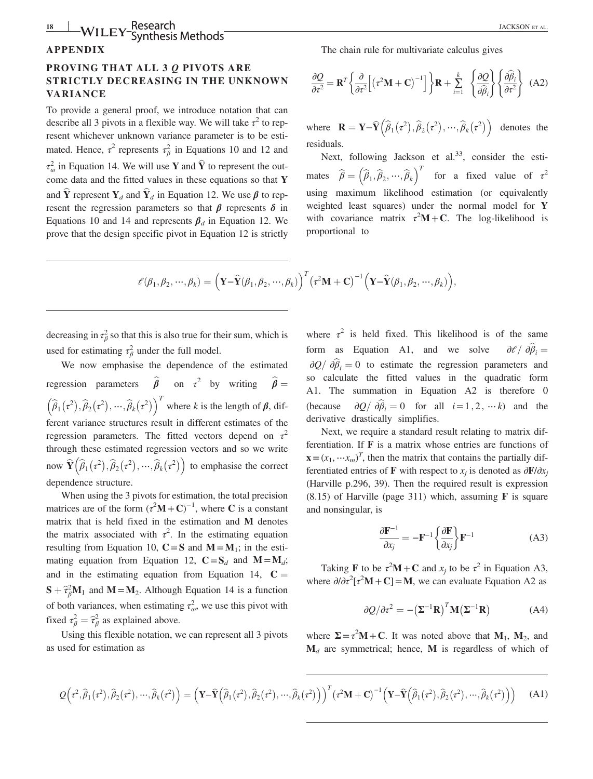# 18 JACKSON ET AL.

### APPENDIX

## PROVING THAT ALL 3 Q PIVOTS ARE STRICTLY DECREASING IN THE UNKNOWN **VARIANCE**

To provide a general proof, we introduce notation that can describe all 3 pivots in a flexible way. We will take  $\tau^2$  to represent whichever unknown variance parameter is to be estimated. Hence,  $\tau^2$  represents  $\tau^2_\beta$  in Equations 10 and 12 and  $\tau_{\omega}^2$  in Equation 14. We will use **Y** and **Y** to represent the outcome data and the fitted values in these equations so that Y and  $\hat{Y}$  represent  $Y_d$  and  $\hat{Y}_d$  in Equation 12. We use  $\beta$  to represent the regression parameters so that  $\beta$  represents  $\delta$  in Equations 10 and 14 and represents  $\beta_d$  in Equation 12. We prove that the design specific pivot in Equation 12 is strictly The chain rule for multivariate calculus gives

$$
\frac{\partial Q}{\partial \tau^2} = \mathbf{R}^T \left\{ \frac{\partial}{\partial \tau^2} \Big[ \big( \tau^2 \mathbf{M} + \mathbf{C} \big)^{-1} \Big] \right\} \mathbf{R} + \sum_{i=1}^k \left\{ \frac{\partial Q}{\partial \hat{\beta}_i} \right\} \left\{ \frac{\partial \hat{\beta}_i}{\partial \tau^2} \right\} \tag{A2}
$$

where  $\mathbf{R} = \mathbf{Y} - \widehat{\mathbf{Y}}\left(\widehat{\beta}_1(\tau^2), \widehat{\beta}_2(\tau^2), \cdots, \widehat{\beta}_k(\tau^2)\right)$  denotes the residuals.

Next, following Jackson et al.<sup>33</sup>, consider the estimates  $\hat{\beta} = (\hat{\beta}_1, \hat{\beta}_2, ..., \hat{\beta}_k)^T$  for a fixed value of  $\tau^2$ using maximum likelihood estimation (or equivalently weighted least squares) under the normal model for Y with covariance matrix  $\tau^2 M + C$ . The log-likelihood is proportional to

$$
\ell(\beta_1, \beta_2, \cdots, \beta_k) = \left(\mathbf{Y} - \widehat{\mathbf{Y}}(\beta_1, \beta_2, \cdots, \beta_k)\right)^T \left(\tau^2 \mathbf{M} + \mathbf{C}\right)^{-1} \left(\mathbf{Y} - \widehat{\mathbf{Y}}(\beta_1, \beta_2, \cdots, \beta_k)\right),
$$

decreasing in  $\tau_{\beta}^2$  so that this is also true for their sum, which is used for estimating  $\tau_{\beta}^2$  under the full model.

We now emphasise the dependence of the estimated regression parameters  $\hat{\beta}$  on  $\tau^2$  by writing  $\hat{\beta} =$  $\left(\widehat{\beta}_1(\tau^2), \widehat{\beta}_2(\tau^2), \cdots, \widehat{\beta}_k(\tau^2)\right)^T$  where k is the length of  $\beta$ , different variance structures result in different estimates of the regression parameters. The fitted vectors depend on  $\tau^2$ through these estimated regression vectors and so we write now  $\hat{\mathbf{Y}}(\hat{\beta}_1(\tau^2), \hat{\beta}_2(\tau^2), \cdots, \hat{\beta}_k(\tau^2))$  to emphasise the correct dependence structure.

When using the 3 pivots for estimation, the total precision matrices are of the form  $(\tau^2 M + C)^{-1}$ , where C is a constant matrix that is held fixed in the estimation and M denotes the matrix associated with  $\tau^2$ . In the estimating equation resulting from Equation 10,  $C = S$  and  $M = M_1$ ; in the estimating equation from Equation 12,  $C = S_d$  and  $M = M_d$ ; and in the estimating equation from Equation 14,  $C =$  $\mathbf{S} + \hat{\tau}_{\beta}^2 \mathbf{M}_1$  and  $\mathbf{M} = \mathbf{M}_2$ . Although Equation 14 is a function of both variances, when estimating  $\tau_{\omega}^2$ , we use this pivot with fixed  $\tau_{\beta}^2 = \hat{\tau}_{\beta}^2$  as explained above.

Using this flexible notation, we can represent all 3 pivots as used for estimation as

where  $\tau^2$  is held fixed. This likelihood is of the same form as Equation A1, and we solve  $\frac{\partial \mathcal{E}}{\partial \hat{\beta}}$  =  $\partial Q/\partial \hat{\beta}_i = 0$  to estimate the regression parameters and so calculate the fitted values in the quadratic form A1. The summation in Equation A2 is therefore 0 (because  $\partial Q/\partial \hat{\beta}_i = 0$  for all  $i = 1, 2, \dots k$ ) and the derivative drastically simplifies.

Next, we require a standard result relating to matrix differentiation. If F is a matrix whose entries are functions of  $\mathbf{x} = (x_1, \dots, x_m)^T$ , then the matrix that contains the partially differentiated entries of F with respect to  $x_i$  is denoted as  $\frac{\partial F}{\partial x_i}$ (Harville p.296, 39). Then the required result is expression  $(8.15)$  of Harville (page 311) which, assuming **F** is square and nonsingular, is

$$
\frac{\partial \mathbf{F}^{-1}}{\partial x_j} = -\mathbf{F}^{-1} \left\{ \frac{\partial \mathbf{F}}{\partial x_j} \right\} \mathbf{F}^{-1}
$$
 (A3)

Taking **F** to be  $\tau^2 \mathbf{M} + \mathbf{C}$  and  $x_j$  to be  $\tau^2$  in Equation A3, where  $\partial/\partial \tau^2[\tau^2 M+C] = M$ , we can evaluate Equation A2 as

$$
\partial Q / \partial \tau^2 = -(\Sigma^{-1} \mathbf{R})^T \mathbf{M} (\Sigma^{-1} \mathbf{R}) \tag{A4}
$$

where  $\Sigma = \tau^2 M + C$ . It was noted above that  $M_1$ ,  $M_2$ , and  $M_d$  are symmetrical; hence, M is regardless of which of

$$
Q(\tau^2, \widehat{\beta}_1(\tau^2), \widehat{\beta}_2(\tau^2), \cdots, \widehat{\beta}_k(\tau^2)) = (\mathbf{Y} - \widehat{\mathbf{Y}}(\widehat{\beta}_1(\tau^2), \widehat{\beta}_2(\tau^2), \cdots, \widehat{\beta}_k(\tau^2)))^T (\tau^2 \mathbf{M} + \mathbf{C})^{-1} (\mathbf{Y} - \widehat{\mathbf{Y}}(\widehat{\beta}_1(\tau^2), \widehat{\beta}_2(\tau^2), \cdots, \widehat{\beta}_k(\tau^2)))
$$
(A1)